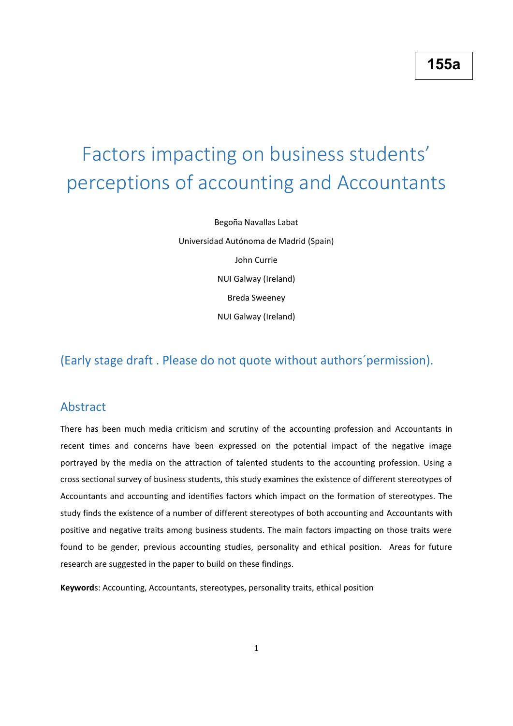# Factors impacting on business students' perceptions of accounting and Accountants

Begoña Navallas Labat Universidad Autónoma de Madrid (Spain) John Currie NUI Galway (Ireland) Breda Sweeney NUI Galway (Ireland)

# (Early stage draft . Please do not quote without authors´permission).

# Abstract

There has been much media criticism and scrutiny of the accounting profession and Accountants in recent times and concerns have been expressed on the potential impact of the negative image portrayed by the media on the attraction of talented students to the accounting profession. Using a cross sectional survey of business students, this study examines the existence of different stereotypes of Accountants and accounting and identifies factors which impact on the formation of stereotypes. The study finds the existence of a number of different stereotypes of both accounting and Accountants with positive and negative traits among business students. The main factors impacting on those traits were found to be gender, previous accounting studies, personality and ethical position. Areas for future research are suggested in the paper to build on these findings.

**Keyword**s: Accounting, Accountants, stereotypes, personality traits, ethical position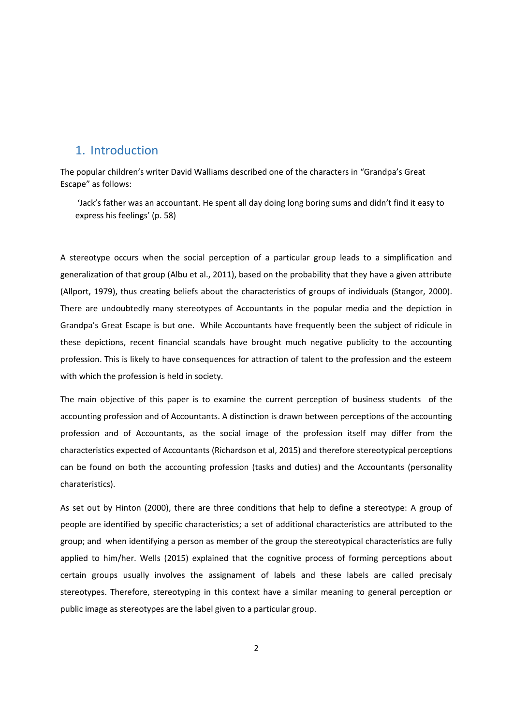## 1. Introduction

The popular children's writer David Walliams described one of the characters in "Grandpa's Great Escape" as follows:

'Jack's father was an accountant. He spent all day doing long boring sums and didn't find it easy to express his feelings' (p. 58)

A stereotype occurs when the social perception of a particular group leads to a simplification and generalization of that group (Albu et al., 2011), based on the probability that they have a given attribute (Allport, 1979), thus creating beliefs about the characteristics of groups of individuals (Stangor, 2000). There are undoubtedly many stereotypes of Accountants in the popular media and the depiction in Grandpa's Great Escape is but one. While Accountants have frequently been the subject of ridicule in these depictions, recent financial scandals have brought much negative publicity to the accounting profession. This is likely to have consequences for attraction of talent to the profession and the esteem with which the profession is held in society.

The main objective of this paper is to examine the current perception of business students of the accounting profession and of Accountants. A distinction is drawn between perceptions of the accounting profession and of Accountants, as the social image of the profession itself may differ from the characteristics expected of Accountants (Richardson et al, 2015) and therefore stereotypical perceptions can be found on both the accounting profession (tasks and duties) and the Accountants (personality charateristics).

As set out by Hinton (2000), there are three conditions that help to define a stereotype: A group of people are identified by specific characteristics; a set of additional characteristics are attributed to the group; and when identifying a person as member of the group the stereotypical characteristics are fully applied to him/her. Wells (2015) explained that the cognitive process of forming perceptions about certain groups usually involves the assignament of labels and these labels are called precisaly stereotypes. Therefore, stereotyping in this context have a similar meaning to general perception or public image as stereotypes are the label given to a particular group.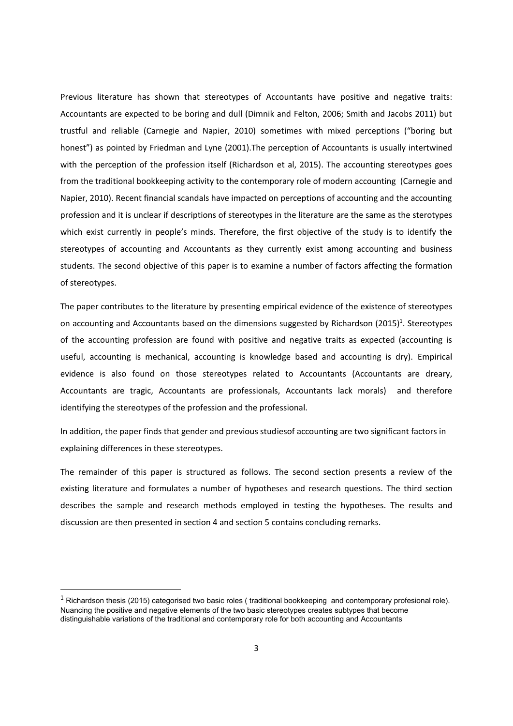Previous literature has shown that stereotypes of Accountants have positive and negative traits: Accountants are expected to be boring and dull (Dimnik and Felton, 2006; Smith and Jacobs 2011) but trustful and reliable (Carnegie and Napier, 2010) sometimes with mixed perceptions ("boring but honest") as pointed by Friedman and Lyne (2001).The perception of Accountants is usually intertwined with the perception of the profession itself (Richardson et al, 2015). The accounting stereotypes goes from the traditional bookkeeping activity to the contemporary role of modern accounting (Carnegie and Napier, 2010). Recent financial scandals have impacted on perceptions of accounting and the accounting profession and it is unclear if descriptions of stereotypes in the literature are the same as the sterotypes which exist currently in people's minds. Therefore, the first objective of the study is to identify the stereotypes of accounting and Accountants as they currently exist among accounting and business students. The second objective of this paper is to examine a number of factors affecting the formation of stereotypes.

The paper contributes to the literature by presenting empirical evidence of the existence of stereotypes on accounting and Accountants based on the dimensions suggested by Richardson (2015)<sup>1</sup>. Stereotypes of the accounting profession are found with positive and negative traits as expected (accounting is useful, accounting is mechanical, accounting is knowledge based and accounting is dry). Empirical evidence is also found on those stereotypes related to Accountants (Accountants are dreary, Accountants are tragic, Accountants are professionals, Accountants lack morals) and therefore identifying the stereotypes of the profession and the professional.

In addition, the paper finds that gender and previous studiesof accounting are two significant factors in explaining differences in these stereotypes.

The remainder of this paper is structured as follows. The second section presents a review of the existing literature and formulates a number of hypotheses and research questions. The third section describes the sample and research methods employed in testing the hypotheses. The results and discussion are then presented in section 4 and section 5 contains concluding remarks.

1

 $1$  Richardson thesis (2015) categorised two basic roles (traditional bookkeeping and contemporary profesional role). Nuancing the positive and negative elements of the two basic stereotypes creates subtypes that become distinguishable variations of the traditional and contemporary role for both accounting and Accountants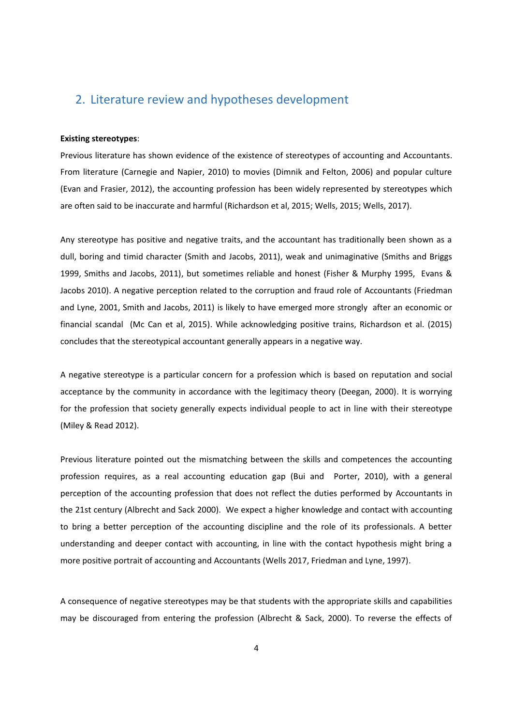# 2. Literature review and hypotheses development

#### **Existing stereotypes**:

Previous literature has shown evidence of the existence of stereotypes of accounting and Accountants. From literature (Carnegie and Napier, 2010) to movies (Dimnik and Felton, 2006) and popular culture (Evan and Frasier, 2012), the accounting profession has been widely represented by stereotypes which are often said to be inaccurate and harmful (Richardson et al, 2015; Wells, 2015; Wells, 2017).

Any stereotype has positive and negative traits, and the accountant has traditionally been shown as a dull, boring and timid character (Smith and Jacobs, 2011), weak and unimaginative (Smiths and Briggs 1999, Smiths and Jacobs, 2011), but sometimes reliable and honest (Fisher & Murphy 1995, Evans & Jacobs 2010). A negative perception related to the corruption and fraud role of Accountants (Friedman and Lyne, 2001, Smith and Jacobs, 2011) is likely to have emerged more strongly after an economic or financial scandal (Mc Can et al, 2015). While acknowledging positive trains, Richardson et al. (2015) concludes that the stereotypical accountant generally appears in a negative way.

A negative stereotype is a particular concern for a profession which is based on reputation and social acceptance by the community in accordance with the legitimacy theory (Deegan, 2000). It is worrying for the profession that society generally expects individual people to act in line with their stereotype (Miley & Read 2012).

Previous literature pointed out the mismatching between the skills and competences the accounting profession requires, as a real accounting education gap (Bui and Porter, 2010), with a general perception of the accounting profession that does not reflect the duties performed by Accountants in the 21st century (Albrecht and Sack 2000). We expect a higher knowledge and contact with accounting to bring a better perception of the accounting discipline and the role of its professionals. A better understanding and deeper contact with accounting, in line with the contact hypothesis might bring a more positive portrait of accounting and Accountants (Wells 2017, Friedman and Lyne, 1997).

A consequence of negative stereotypes may be that students with the appropriate skills and capabilities may be discouraged from entering the profession (Albrecht & Sack, 2000). To reverse the effects of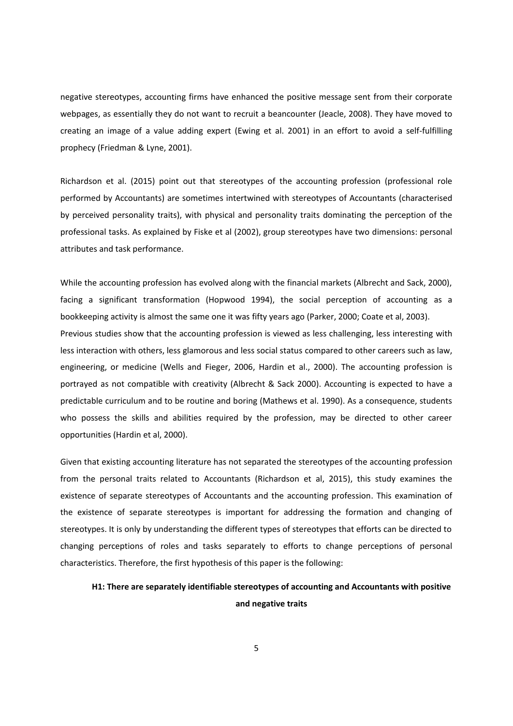negative stereotypes, accounting firms have enhanced the positive message sent from their corporate webpages, as essentially they do not want to recruit a beancounter (Jeacle, 2008). They have moved to creating an image of a value adding expert (Ewing et al. 2001) in an effort to avoid a self-fulfilling prophecy (Friedman & Lyne, 2001).

Richardson et al. (2015) point out that stereotypes of the accounting profession (professional role performed by Accountants) are sometimes intertwined with stereotypes of Accountants (characterised by perceived personality traits), with physical and personality traits dominating the perception of the professional tasks. As explained by Fiske et al (2002), group stereotypes have two dimensions: personal attributes and task performance.

While the accounting profession has evolved along with the financial markets (Albrecht and Sack, 2000), facing a significant transformation (Hopwood 1994), the social perception of accounting as a bookkeeping activity is almost the same one it was fifty years ago (Parker, 2000; Coate et al, 2003). Previous studies show that the accounting profession is viewed as less challenging, less interesting with less interaction with others, less glamorous and less social status compared to other careers such as law, engineering, or medicine (Wells and Fieger, 2006, Hardin et al., 2000). The accounting profession is portrayed as not compatible with creativity (Albrecht & Sack 2000). Accounting is expected to have a predictable curriculum and to be routine and boring (Mathews et al. 1990). As a consequence, students who possess the skills and abilities required by the profession, may be directed to other career opportunities (Hardin et al, 2000).

Given that existing accounting literature has not separated the stereotypes of the accounting profession from the personal traits related to Accountants (Richardson et al, 2015), this study examines the existence of separate stereotypes of Accountants and the accounting profession. This examination of the existence of separate stereotypes is important for addressing the formation and changing of stereotypes. It is only by understanding the different types of stereotypes that efforts can be directed to changing perceptions of roles and tasks separately to efforts to change perceptions of personal characteristics. Therefore, the first hypothesis of this paper is the following:

# **H1: There are separately identifiable stereotypes of accounting and Accountants with positive and negative traits**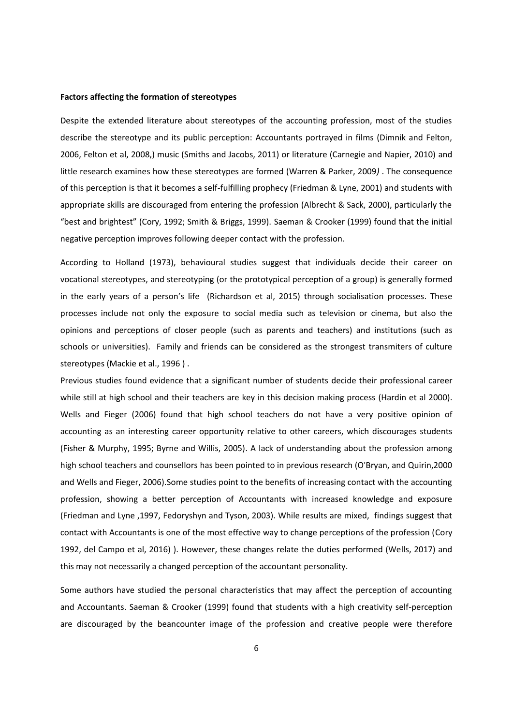#### **Factors affecting the formation of stereotypes**

Despite the extended literature about stereotypes of the accounting profession, most of the studies describe the stereotype and its public perception: Accountants portrayed in films (Dimnik and Felton, 2006, Felton et al, 2008,) music (Smiths and Jacobs, 2011) or literature (Carnegie and Napier, 2010) and little research examines how these stereotypes are formed (Warren & Parker, 2009*)* . The consequence of this perception is that it becomes a self-fulfilling prophecy (Friedman & Lyne, 2001) and students with appropriate skills are discouraged from entering the profession (Albrecht & Sack, 2000), particularly the "best and brightest" (Cory, 1992; Smith & Briggs, 1999). Saeman & Crooker (1999) found that the initial negative perception improves following deeper contact with the profession.

According to Holland (1973), behavioural studies suggest that individuals decide their career on vocational stereotypes, and stereotyping (or the prototypical perception of a group) is generally formed in the early years of a person's life (Richardson et al, 2015) through socialisation processes. These processes include not only the exposure to social media such as television or cinema, but also the opinions and perceptions of closer people (such as parents and teachers) and institutions (such as schools or universities). Family and friends can be considered as the strongest transmiters of culture stereotypes (Mackie et al., 1996 ) .

Previous studies found evidence that a significant number of students decide their professional career while still at high school and their teachers are key in this decision making process (Hardin et al 2000). Wells and Fieger (2006) found that high school teachers do not have a very positive opinion of accounting as an interesting career opportunity relative to other careers, which discourages students (Fisher & Murphy, 1995; Byrne and Willis, 2005). A lack of understanding about the profession among high school teachers and counsellors has been pointed to in previous research (O'Bryan, and Quirin,2000 and Wells and Fieger, 2006).Some studies point to the benefits of increasing contact with the accounting profession, showing a better perception of Accountants with increased knowledge and exposure (Friedman and Lyne ,1997, Fedoryshyn and Tyson, 2003). While results are mixed, findings suggest that contact with Accountants is one of the most effective way to change perceptions of the profession (Cory 1992, del Campo et al, 2016) ). However, these changes relate the duties performed (Wells, 2017) and this may not necessarily a changed perception of the accountant personality.

Some authors have studied the personal characteristics that may affect the perception of accounting and Accountants. Saeman & Crooker (1999) found that students with a high creativity self-perception are discouraged by the beancounter image of the profession and creative people were therefore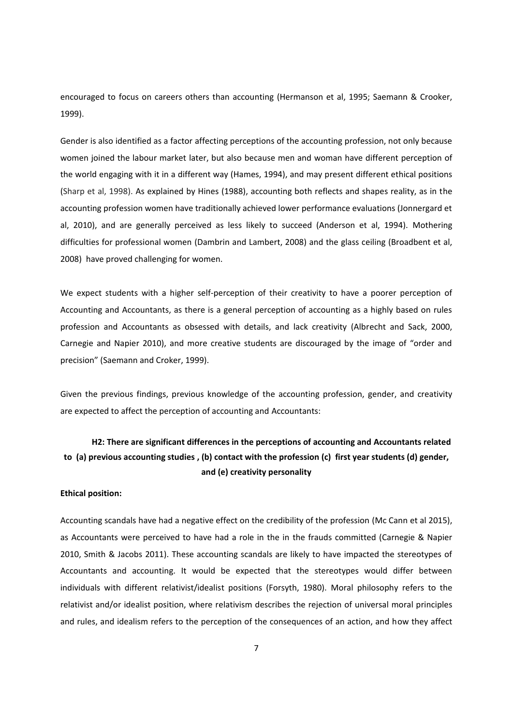encouraged to focus on careers others than accounting (Hermanson et al, 1995; Saemann & Crooker, 1999).

Gender is also identified as a factor affecting perceptions of the accounting profession, not only because women joined the labour market later, but also because men and woman have different perception of the world engaging with it in a different way (Hames, 1994), and may present different ethical positions (Sharp et al, 1998). As explained by Hines (1988), accounting both reflects and shapes reality, as in the accounting profession women have traditionally achieved lower performance evaluations (Jonnergard et al, 2010), and are generally perceived as less likely to succeed (Anderson et al, 1994). Mothering difficulties for professional women (Dambrin and Lambert, 2008) and the glass ceiling (Broadbent et al, 2008) have proved challenging for women.

We expect students with a higher self-perception of their creativity to have a poorer perception of Accounting and Accountants, as there is a general perception of accounting as a highly based on rules profession and Accountants as obsessed with details, and lack creativity (Albrecht and Sack, 2000, Carnegie and Napier 2010), and more creative students are discouraged by the image of "order and precision" (Saemann and Croker, 1999).

Given the previous findings, previous knowledge of the accounting profession, gender, and creativity are expected to affect the perception of accounting and Accountants:

# **H2: There are significant differences in the perceptions of accounting and Accountants related to (a) previous accounting studies , (b) contact with the profession (c) first year students (d) gender, and (e) creativity personality**

#### **Ethical position:**

Accounting scandals have had a negative effect on the credibility of the profession (Mc Cann et al 2015), as Accountants were perceived to have had a role in the in the frauds committed (Carnegie & Napier 2010, Smith & Jacobs 2011). These accounting scandals are likely to have impacted the stereotypes of Accountants and accounting. It would be expected that the stereotypes would differ between individuals with different relativist/idealist positions (Forsyth, 1980). Moral philosophy refers to the relativist and/or idealist position, where relativism describes the rejection of universal moral principles and rules, and idealism refers to the perception of the consequences of an action, and how they affect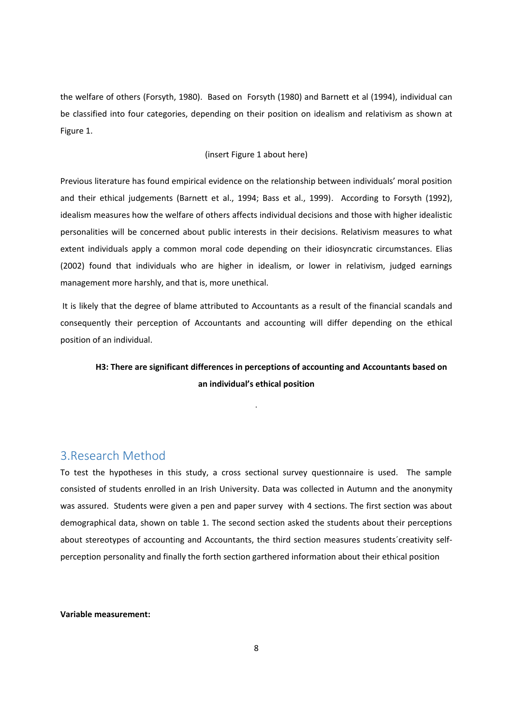the welfare of others (Forsyth, 1980). Based on Forsyth (1980) and Barnett et al (1994), individual can be classified into four categories, depending on their position on idealism and relativism as shown at Figure 1.

#### (insert Figure 1 about here)

Previous literature has found empirical evidence on the relationship between individuals' moral position and their ethical judgements (Barnett et al., 1994; Bass et al., 1999). According to Forsyth (1992), idealism measures how the welfare of others affects individual decisions and those with higher idealistic personalities will be concerned about public interests in their decisions. Relativism measures to what extent individuals apply a common moral code depending on their idiosyncratic circumstances. Elias (2002) found that individuals who are higher in idealism, or lower in relativism, judged earnings management more harshly, and that is, more unethical.

It is likely that the degree of blame attributed to Accountants as a result of the financial scandals and consequently their perception of Accountants and accounting will differ depending on the ethical position of an individual.

.

# **H3: There are significant differences in perceptions of accounting and Accountants based on an individual's ethical position**

## 3.Research Method

To test the hypotheses in this study, a cross sectional survey questionnaire is used. The sample consisted of students enrolled in an Irish University. Data was collected in Autumn and the anonymity was assured. Students were given a pen and paper survey with 4 sections. The first section was about demographical data, shown on table 1. The second section asked the students about their perceptions about stereotypes of accounting and Accountants, the third section measures students´creativity selfperception personality and finally the forth section garthered information about their ethical position

#### **Variable measurement:**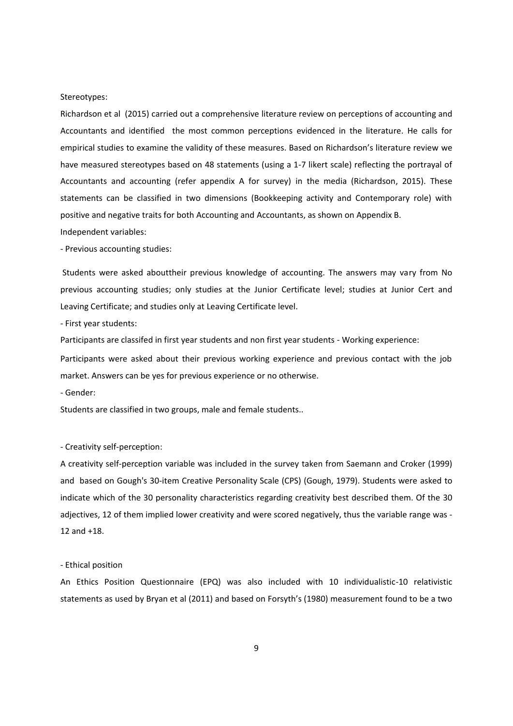#### Stereotypes:

Richardson et al (2015) carried out a comprehensive literature review on perceptions of accounting and Accountants and identified the most common perceptions evidenced in the literature. He calls for empirical studies to examine the validity of these measures. Based on Richardson's literature review we have measured stereotypes based on 48 statements (using a 1-7 likert scale) reflecting the portrayal of Accountants and accounting (refer appendix A for survey) in the media (Richardson, 2015). These statements can be classified in two dimensions (Bookkeeping activity and Contemporary role) with positive and negative traits for both Accounting and Accountants, as shown on Appendix B. Independent variables:

- Previous accounting studies:

Students were asked abouttheir previous knowledge of accounting. The answers may vary from No previous accounting studies; only studies at the Junior Certificate level; studies at Junior Cert and Leaving Certificate; and studies only at Leaving Certificate level.

- First year students:

Participants are classifed in first year students and non first year students - Working experience:

Participants were asked about their previous working experience and previous contact with the job market. Answers can be yes for previous experience or no otherwise.

- Gender:

Students are classified in two groups, male and female students..

#### - Creativity self-perception:

A creativity self-perception variable was included in the survey taken from Saemann and Croker (1999) and based on Gough's 30-item Creative Personality Scale (CPS) (Gough, 1979). Students were asked to indicate which of the 30 personality characteristics regarding creativity best described them. Of the 30 adjectives, 12 of them implied lower creativity and were scored negatively, thus the variable range was - 12 and +18.

#### - Ethical position

An Ethics Position Questionnaire (EPQ) was also included with 10 individualistic-10 relativistic statements as used by Bryan et al (2011) and based on Forsyth's (1980) measurement found to be a two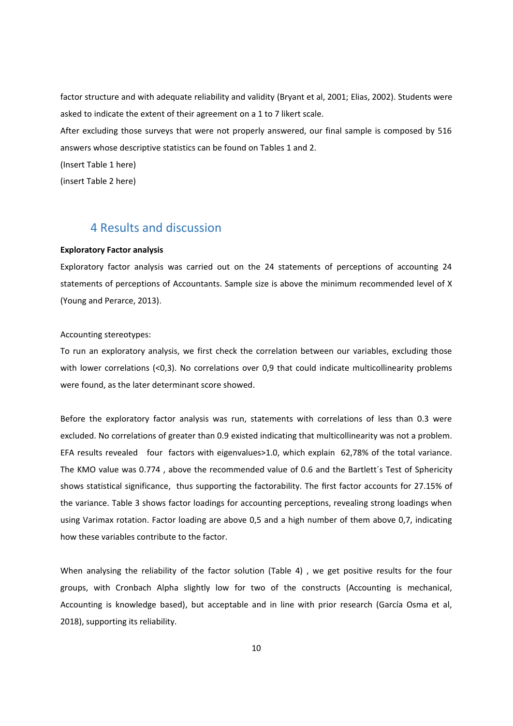factor structure and with adequate reliability and validity (Bryant et al, 2001; Elias, 2002). Students were asked to indicate the extent of their agreement on a 1 to 7 likert scale.

After excluding those surveys that were not properly answered, our final sample is composed by 516 answers whose descriptive statistics can be found on Tables 1 and 2.

(Insert Table 1 here)

(insert Table 2 here)

# 4 Results and discussion

#### **Exploratory Factor analysis**

Exploratory factor analysis was carried out on the 24 statements of perceptions of accounting 24 statements of perceptions of Accountants. Sample size is above the minimum recommended level of X (Young and Perarce, 2013).

#### Accounting stereotypes:

To run an exploratory analysis, we first check the correlation between our variables, excluding those with lower correlations (<0,3). No correlations over 0,9 that could indicate multicollinearity problems were found, as the later determinant score showed.

Before the exploratory factor analysis was run, statements with correlations of less than 0.3 were excluded. No correlations of greater than 0.9 existed indicating that multicollinearity was not a problem. EFA results revealed four factors with eigenvalues>1.0, which explain 62,78% of the total variance. The KMO value was 0.774 , above the recommended value of 0.6 and the Bartlett´s Test of Sphericity shows statistical significance, thus supporting the factorability. The first factor accounts for 27.15% of the variance. Table 3 shows factor loadings for accounting perceptions, revealing strong loadings when using Varimax rotation. Factor loading are above 0,5 and a high number of them above 0,7, indicating how these variables contribute to the factor.

When analysing the reliability of the factor solution (Table 4) , we get positive results for the four groups, with Cronbach Alpha slightly low for two of the constructs (Accounting is mechanical, Accounting is knowledge based), but acceptable and in line with prior research (García Osma et al, 2018), supporting its reliability.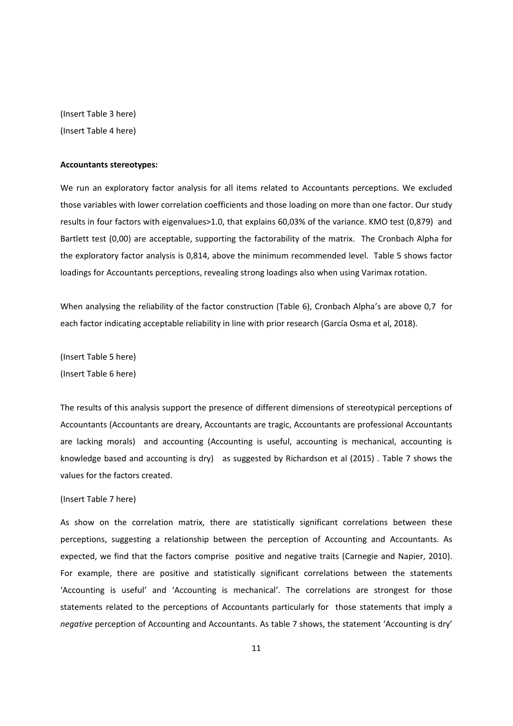(Insert Table 3 here) (Insert Table 4 here)

#### **Accountants stereotypes:**

We run an exploratory factor analysis for all items related to Accountants perceptions. We excluded those variables with lower correlation coefficients and those loading on more than one factor. Our study results in four factors with eigenvalues>1.0, that explains 60,03% of the variance. KMO test (0,879) and Bartlett test (0,00) are acceptable, supporting the factorability of the matrix. The Cronbach Alpha for the exploratory factor analysis is 0,814, above the minimum recommended level. Table 5 shows factor loadings for Accountants perceptions, revealing strong loadings also when using Varimax rotation.

When analysing the reliability of the factor construction (Table 6), Cronbach Alpha's are above 0,7 for each factor indicating acceptable reliability in line with prior research (García Osma et al, 2018).

(Insert Table 5 here) (Insert Table 6 here)

The results of this analysis support the presence of different dimensions of stereotypical perceptions of Accountants (Accountants are dreary, Accountants are tragic, Accountants are professional Accountants are lacking morals) and accounting (Accounting is useful, accounting is mechanical, accounting is knowledge based and accounting is dry) as suggested by Richardson et al (2015) . Table 7 shows the values for the factors created.

#### (Insert Table 7 here)

As show on the correlation matrix, there are statistically significant correlations between these perceptions, suggesting a relationship between the perception of Accounting and Accountants. As expected, we find that the factors comprise positive and negative traits (Carnegie and Napier, 2010). For example, there are positive and statistically significant correlations between the statements 'Accounting is useful' and 'Accounting is mechanical'. The correlations are strongest for those statements related to the perceptions of Accountants particularly for those statements that imply a *negative* perception of Accounting and Accountants. As table 7 shows, the statement 'Accounting is dry'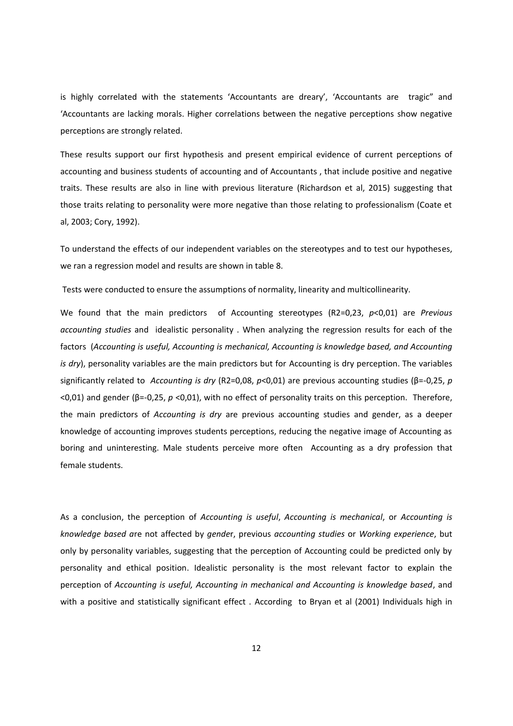is highly correlated with the statements 'Accountants are dreary', 'Accountants are tragic" and 'Accountants are lacking morals. Higher correlations between the negative perceptions show negative perceptions are strongly related.

These results support our first hypothesis and present empirical evidence of current perceptions of accounting and business students of accounting and of Accountants , that include positive and negative traits. These results are also in line with previous literature (Richardson et al, 2015) suggesting that those traits relating to personality were more negative than those relating to professionalism (Coate et al, 2003; Cory, 1992).

To understand the effects of our independent variables on the stereotypes and to test our hypotheses, we ran a regression model and results are shown in table 8.

Tests were conducted to ensure the assumptions of normality, linearity and multicollinearity.

We found that the main predictors of Accounting stereotypes (R2=0,23, *p*<0,01) are *Previous accounting studies* and idealistic personality . When analyzing the regression results for each of the factors (*Accounting is useful, Accounting is mechanical, Accounting is knowledge based, and Accounting is dry*), personality variables are the main predictors but for Accounting is dry perception. The variables significantly related to *Accounting is dry* (R2=0,08, *p*<0,01) are previous accounting studies (β=-0,25, *p* <0,01) and gender (β=-0,25, *p* <0,01), with no effect of personality traits on this perception. Therefore, the main predictors of *Accounting is dry* are previous accounting studies and gender, as a deeper knowledge of accounting improves students perceptions, reducing the negative image of Accounting as boring and uninteresting. Male students perceive more often Accounting as a dry profession that female students.

As a conclusion, the perception of *Accounting is useful*, *Accounting is mechanical*, or *Accounting is knowledge based a*re not affected by *gende*r, previous *accounting studies* or *Working experience*, but only by personality variables, suggesting that the perception of Accounting could be predicted only by personality and ethical position. Idealistic personality is the most relevant factor to explain the perception of *Accounting is useful, Accounting in mechanical and Accounting is knowledge based*, and with a positive and statistically significant effect. According to Bryan et al (2001) Individuals high in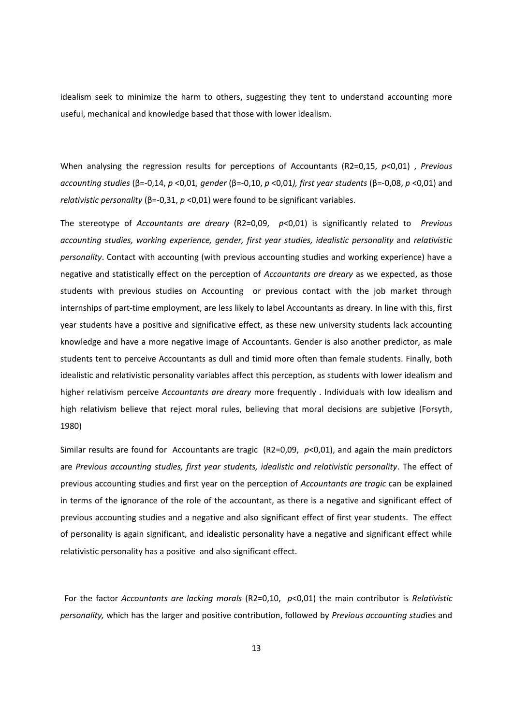idealism seek to minimize the harm to others, suggesting they tent to understand accounting more useful, mechanical and knowledge based that those with lower idealism.

When analysing the regression results for perceptions of Accountants (R2=0,15, *p*<0,01) , *Previous accounting studies* (β=-0,14, *p* <0,01*, gender* (β=-0,10, *p* <0,01*), first year students* (β=-0,08, *p* <0,01) and *relativistic personality* (β=-0,31, *p* <0,01) were found to be significant variables.

The stereotype of *Accountants are dreary* (R2=0,09, *p*<0,01) is significantly related to *Previous accounting studies, working experience, gender, first year studies, idealistic personality* and *relativistic personality*. Contact with accounting (with previous accounting studies and working experience) have a negative and statistically effect on the perception of *Accountants are dreary* as we expected, as those students with previous studies on Accounting or previous contact with the job market through internships of part-time employment, are less likely to label Accountants as dreary. In line with this, first year students have a positive and significative effect, as these new university students lack accounting knowledge and have a more negative image of Accountants. Gender is also another predictor, as male students tent to perceive Accountants as dull and timid more often than female students. Finally, both idealistic and relativistic personality variables affect this perception, as students with lower idealism and higher relativism perceive *Accountants are dreary* more frequently . Individuals with low idealism and high relativism believe that reject moral rules, believing that moral decisions are subjetive (Forsyth, 1980)

Similar results are found for Accountants are tragic (R2=0,09, *p*<0,01), and again the main predictors are *Previous accounting studies, first year students, idealistic and relativistic personality*. The effect of previous accounting studies and first year on the perception of *Accountants are tragic* can be explained in terms of the ignorance of the role of the accountant, as there is a negative and significant effect of previous accounting studies and a negative and also significant effect of first year students. The effect of personality is again significant, and idealistic personality have a negative and significant effect while relativistic personality has a positive and also significant effect.

For the factor *Accountants are lacking morals* (R2=0,10, *p*<0,01) the main contributor is *Relativistic personality,* which has the larger and positive contribution, followed by *Previous accounting stud*ies and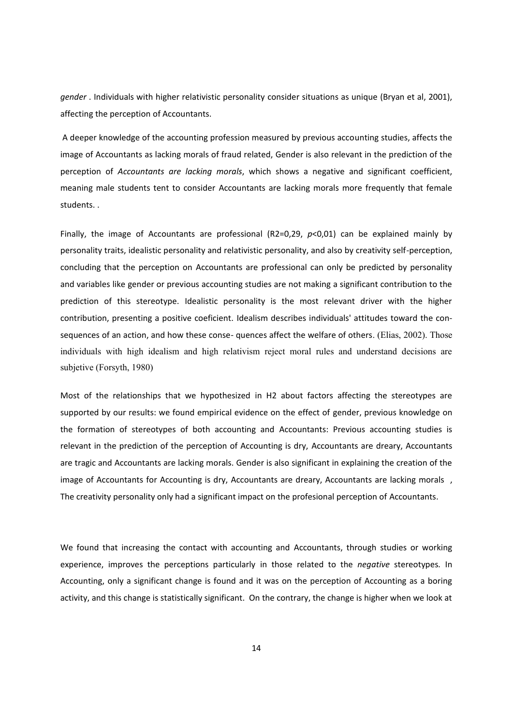*gender* . Individuals with higher relativistic personality consider situations as unique (Bryan et al, 2001), affecting the perception of Accountants.

A deeper knowledge of the accounting profession measured by previous accounting studies, affects the image of Accountants as lacking morals of fraud related, Gender is also relevant in the prediction of the perception of *Accountants are lacking morals*, which shows a negative and significant coefficient, meaning male students tent to consider Accountants are lacking morals more frequently that female students. .

Finally, the image of Accountants are professional (R2=0,29, *p*<0,01) can be explained mainly by personality traits, idealistic personality and relativistic personality, and also by creativity self-perception, concluding that the perception on Accountants are professional can only be predicted by personality and variables like gender or previous accounting studies are not making a significant contribution to the prediction of this stereotype. Idealistic personality is the most relevant driver with the higher contribution, presenting a positive coeficient. Idealism describes individuals' attitudes toward the consequences of an action, and how these conse- quences affect the welfare of others. (Elias, 2002). Those individuals with high idealism and high relativism reject moral rules and understand decisions are subjetive (Forsyth, 1980)

Most of the relationships that we hypothesized in H2 about factors affecting the stereotypes are supported by our results: we found empirical evidence on the effect of gender, previous knowledge on the formation of stereotypes of both accounting and Accountants: Previous accounting studies is relevant in the prediction of the perception of Accounting is dry, Accountants are dreary, Accountants are tragic and Accountants are lacking morals. Gender is also significant in explaining the creation of the image of Accountants for Accounting is dry, Accountants are dreary, Accountants are lacking morals , The creativity personality only had a significant impact on the profesional perception of Accountants.

We found that increasing the contact with accounting and Accountants, through studies or working experience, improves the perceptions particularly in those related to the *negative* stereotypes*.* In Accounting, only a significant change is found and it was on the perception of Accounting as a boring activity, and this change is statistically significant. On the contrary, the change is higher when we look at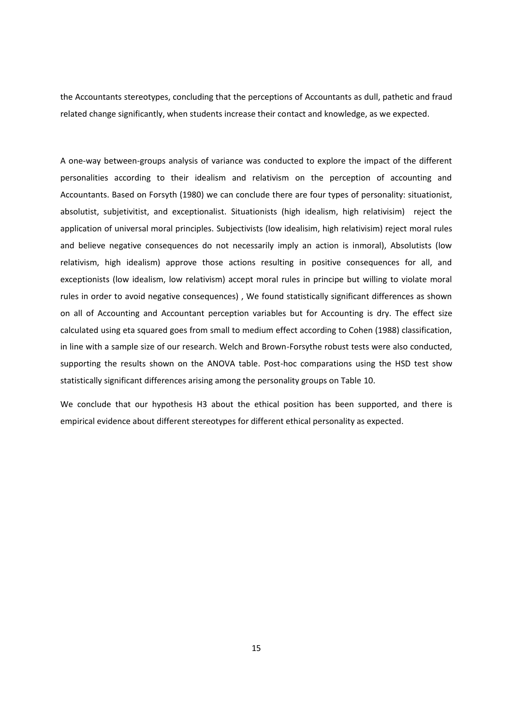the Accountants stereotypes, concluding that the perceptions of Accountants as dull, pathetic and fraud related change significantly, when students increase their contact and knowledge, as we expected.

A one-way between-groups analysis of variance was conducted to explore the impact of the different personalities according to their idealism and relativism on the perception of accounting and Accountants. Based on Forsyth (1980) we can conclude there are four types of personality: situationist, absolutist, subjetivitist, and exceptionalist. Situationists (high idealism, high relativisim) reject the application of universal moral principles. Subjectivists (low idealisim, high relativisim) reject moral rules and believe negative consequences do not necessarily imply an action is inmoral), Absolutists (low relativism, high idealism) approve those actions resulting in positive consequences for all, and exceptionists (low idealism, low relativism) accept moral rules in principe but willing to violate moral rules in order to avoid negative consequences) , We found statistically significant differences as shown on all of Accounting and Accountant perception variables but for Accounting is dry. The effect size calculated using eta squared goes from small to medium effect according to Cohen (1988) classification, in line with a sample size of our research. Welch and Brown-Forsythe robust tests were also conducted, supporting the results shown on the ANOVA table. Post-hoc comparations using the HSD test show statistically significant differences arising among the personality groups on Table 10.

We conclude that our hypothesis H3 about the ethical position has been supported, and there is empirical evidence about different stereotypes for different ethical personality as expected.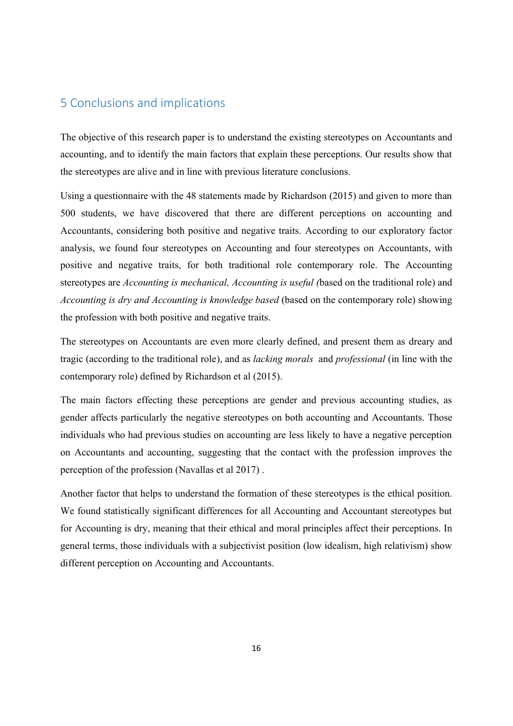# 5 Conclusions and implications

The objective of this research paper is to understand the existing stereotypes on Accountants and accounting, and to identify the main factors that explain these perceptions. Our results show that the stereotypes are alive and in line with previous literature conclusions.

Using a questionnaire with the 48 statements made by Richardson (2015) and given to more than 500 students, we have discovered that there are different perceptions on accounting and Accountants, considering both positive and negative traits. According to our exploratory factor analysis, we found four stereotypes on Accounting and four stereotypes on Accountants, with positive and negative traits, for both traditional role contemporary role. The Accounting stereotypes are *Accounting is mechanical, Accounting is useful (*based on the traditional role) and *Accounting is dry and Accounting is knowledge based* (based on the contemporary role) showing the profession with both positive and negative traits.

The stereotypes on Accountants are even more clearly defined, and present them as dreary and tragic (according to the traditional role), and as *lacking morals* and *professional* (in line with the contemporary role) defined by Richardson et al (2015).

The main factors effecting these perceptions are gender and previous accounting studies, as gender affects particularly the negative stereotypes on both accounting and Accountants. Those individuals who had previous studies on accounting are less likely to have a negative perception on Accountants and accounting, suggesting that the contact with the profession improves the perception of the profession (Navallas et al 2017) .

Another factor that helps to understand the formation of these stereotypes is the ethical position. We found statistically significant differences for all Accounting and Accountant stereotypes but for Accounting is dry, meaning that their ethical and moral principles affect their perceptions. In general terms, those individuals with a subjectivist position (low idealism, high relativism) show different perception on Accounting and Accountants.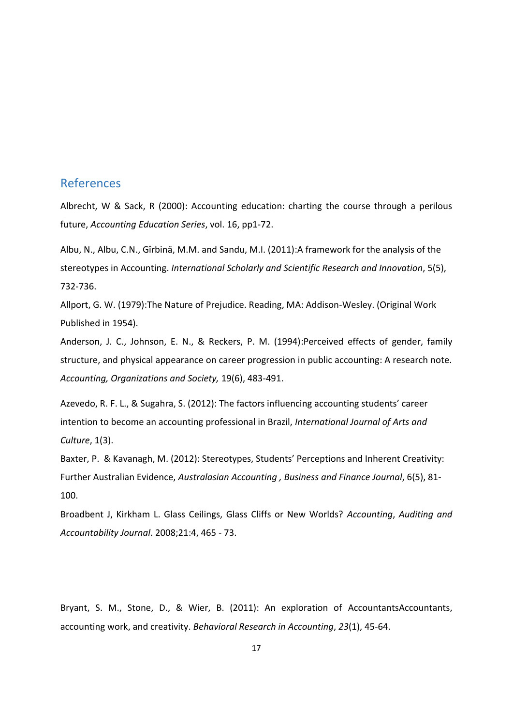## References

Albrecht, W & Sack, R (2000): Accounting education: charting the course through a perilous future, *Accounting Education Series*, vol. 16, pp1-72.

Albu, N., Albu, C.N., Gîrbinä, M.M. and Sandu, M.I. (2011):A framework for the analysis of the stereotypes in Accounting. *International Scholarly and Scientific Research and Innovation*, 5(5), 732-736.

Allport, G. W. (1979):The Nature of Prejudice. Reading, MA: Addison-Wesley. (Original Work Published in 1954).

Anderson, J. C., Johnson, E. N., & Reckers, P. M. (1994):Perceived effects of gender, family structure, and physical appearance on career progression in public accounting: A research note. *Accounting, Organizations and Society,* 19(6), 483-491.

Azevedo, R. F. L., & Sugahra, S. (2012): The factors influencing accounting students' career intention to become an accounting professional in Brazil, *International Journal of Arts and Culture*, 1(3).

Baxter, P. & Kavanagh, M. (2012): Stereotypes, Students' Perceptions and Inherent Creativity: Further Australian Evidence, *Australasian Accounting , Business and Finance Journal*, 6(5), 81- 100.

Broadbent J, Kirkham L. Glass Ceilings, Glass Cliffs or New Worlds? *Accounting*, *Auditing and Accountability Journal*. 2008;21:4, 465 - 73.

Bryant, S. M., Stone, D., & Wier, B. (2011): An exploration of AccountantsAccountants, accounting work, and creativity. *Behavioral Research in Accounting*, *23*(1), 45-64.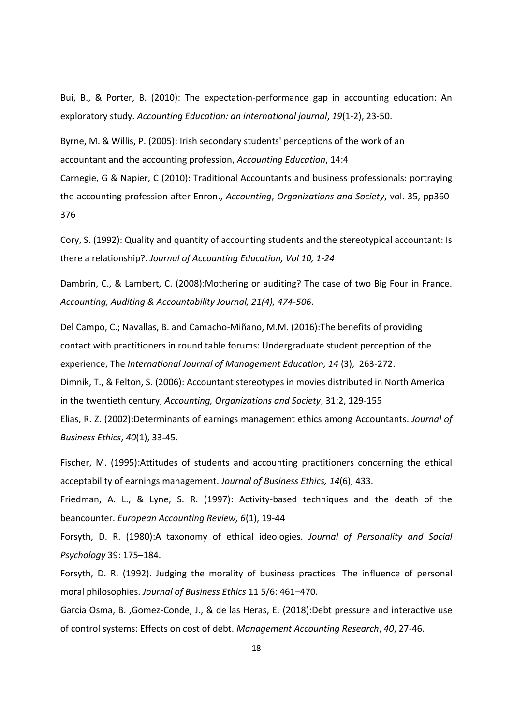Bui, B., & Porter, B. (2010): The expectation-performance gap in accounting education: An exploratory study. *Accounting Education: an international journal*, *19*(1-2), 23-50.

Byrne, M. & Willis, P. (2005): Irish secondary students' perceptions of the work of an accountant and the accounting profession, *Accounting Education*, 14:4 Carnegie, G & Napier, C (2010): Traditional Accountants and business professionals: portraying the accounting profession after Enron., *Accounting*, *Organizations and Society*, vol. 35, pp360- 376

Cory, S. (1992): Quality and quantity of accounting students and the stereotypical accountant: Is there a relationship?. *Journal of Accounting Education, Vol 10, 1-24*

Dambrin, C., & Lambert, C. (2008):Mothering or auditing? The case of two Big Four in France. *Accounting, Auditing & Accountability Journal, 21(4), 474-506*.

Del Campo, C.; Navallas, B. and Camacho-Miñano, M.M. (2016):The benefits of providing contact with practitioners in round table forums: Undergraduate student perception of the experience, The *International Journal of Management Education, 14* (3), 263-272. Dimnik, T., & Felton, S. (2006): Accountant stereotypes in movies distributed in North America in the twentieth century, *Accounting, Organizations and Society*, 31:2, 129-155 Elias, R. Z. (2002):Determinants of earnings management ethics among Accountants. *Journal of Business Ethics*, *40*(1), 33-45.

Fischer, M. (1995):Attitudes of students and accounting practitioners concerning the ethical acceptability of earnings management. *Journal of Business Ethics, 14*(6), 433.

Friedman, A. L., & Lyne, S. R. (1997): Activity-based techniques and the death of the beancounter. *European Accounting Review, 6*(1), 19-44

Forsyth, D. R. (1980):A taxonomy of ethical ideologies. *Journal of Personality and Social Psychology* 39: 175–184.

Forsyth, D. R. (1992). Judging the morality of business practices: The influence of personal moral philosophies. *Journal of Business Ethics* 11 5/6: 461–470.

Garcia Osma, B. ,Gomez-Conde, J., & de las Heras, E. (2018):Debt pressure and interactive use of control systems: Effects on cost of debt. *Management Accounting Research*, *40*, 27-46.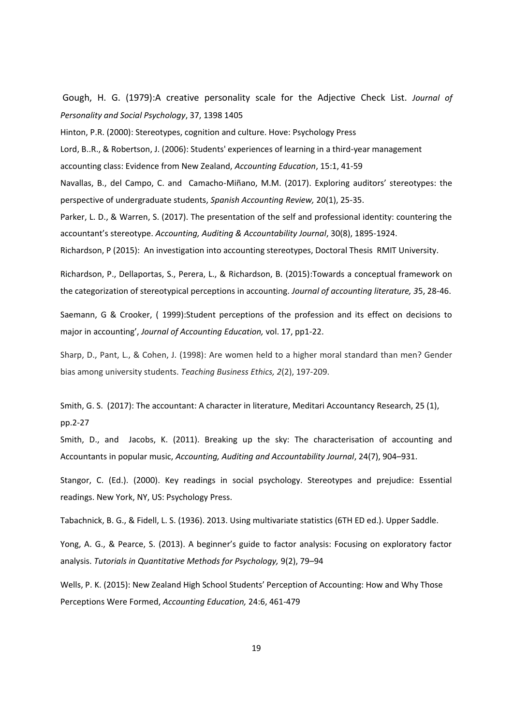Gough, H. G. (1979):A creative personality scale for the Adjective Check List. *Journal of Personality and Social Psychology*, 37, 1398 1405

Hinton, P.R. (2000): Stereotypes, cognition and culture. Hove: Psychology Press

Lord, B..R., & Robertson, J. (2006): Students' experiences of learning in a third-year management accounting class: Evidence from New Zealand, *Accounting Education*, 15:1, 41-59

Navallas, B., del Campo, C. and Camacho-Miñano, M.M. (2017). Exploring auditors' stereotypes: the perspective of undergraduate students, *Spanish Accounting Review,* 20(1), 25-35.

Parker, L. D., & Warren, S. (2017). The presentation of the self and professional identity: countering the accountant's stereotype. *Accounting, Auditing & Accountability Journal*, 30(8), 1895-1924.

Richardson, P (2015): An investigation into accounting stereotypes, Doctoral Thesis RMIT University.

Richardson, P., Dellaportas, S., Perera, L., & Richardson, B. (2015):Towards a conceptual framework on the categorization of stereotypical perceptions in accounting. *Journal of accounting literature, 3*5, 28-46.

Saemann, G & Crooker, ( 1999):Student perceptions of the profession and its effect on decisions to major in accounting', *Journal of Accounting Education,* vol. 17, pp1-22.

Sharp, D., Pant, L., & Cohen, J. (1998): Are women held to a higher moral standard than men? Gender bias among university students. *Teaching Business Ethics, 2*(2), 197-209.

Smith, G. S. (2017): The accountant: A character in literature, Meditari Accountancy Research, 25 (1), pp.2-27

Smith, D., and Jacobs, K. (2011). Breaking up the sky: The characterisation of accounting and Accountants in popular music, *Accounting, Auditing and Accountability Journal*, 24(7), 904–931.

Stangor, C. (Ed.). (2000). Key readings in social psychology. Stereotypes and prejudice: Essential readings. New York, NY, US: Psychology Press.

Tabachnick, B. G., & Fidell, L. S. (1936). 2013. Using multivariate statistics (6TH ED ed.). Upper Saddle.

Yong, A. G., & Pearce, S. (2013). A beginner's guide to factor analysis: Focusing on exploratory factor analysis. *Tutorials in Quantitative Methods for Psychology,* 9(2), 79–94

Wells, P. K. (2015): New Zealand High School Students' Perception of Accounting: How and Why Those Perceptions Were Formed, *Accounting Education,* 24:6, 461-479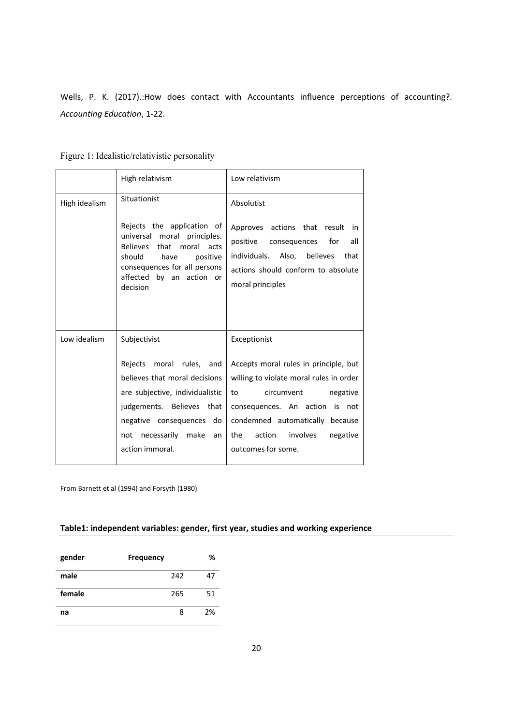Wells, P. K. (2017).:How does contact with Accountants influence perceptions of accounting?. *Accounting Education*, 1-22.

|               | High relativism                                                                                                                                                                                              | Low relativism                                                                                                                                                                                                                                       |
|---------------|--------------------------------------------------------------------------------------------------------------------------------------------------------------------------------------------------------------|------------------------------------------------------------------------------------------------------------------------------------------------------------------------------------------------------------------------------------------------------|
| High idealism | Situationist                                                                                                                                                                                                 | Absolutist                                                                                                                                                                                                                                           |
|               | Rejects the application of<br>universal moral principles.<br>Believes that moral acts<br>should<br>have<br>positive<br>consequences for all persons<br>affected by an action or<br>decision                  | Approves actions that result in<br>positive<br>for<br>consequences<br>all<br>individuals. Also, believes<br>that<br>actions should conform to absolute<br>moral principles                                                                           |
| Low idealism  | Subjectivist                                                                                                                                                                                                 | Exceptionist                                                                                                                                                                                                                                         |
|               | Rejects moral rules,<br>and<br>believes that moral decisions<br>are subjective, individualistic<br>judgements. Believes that<br>negative consequences<br>do<br>not necessarily make<br>an<br>action immoral. | Accepts moral rules in principle, but<br>willing to violate moral rules in order<br>circumvent<br>to<br>negative<br>consequences. An action is not<br>condemned automatically because<br>the<br>action<br>involves<br>negative<br>outcomes for some. |

Figure 1: Idealistic/relativistic personality

From Barnett et al (1994) and Forsyth (1980)

### **Table1: independent variables: gender, first year, studies and working experience**

| gender | <b>Frequency</b> | %  |
|--------|------------------|----|
| male   | 242              | 47 |
| female | 265              | 51 |
| na     | ጸ                | 2% |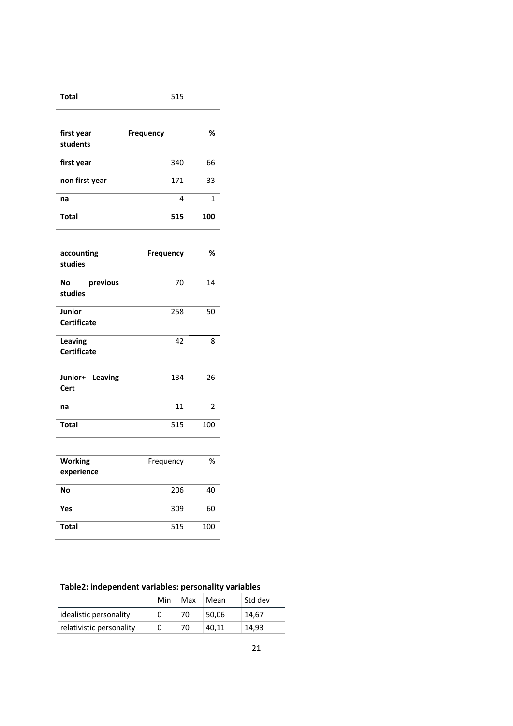| <b>Total</b>                  | 515       |     |
|-------------------------------|-----------|-----|
|                               |           |     |
| first year                    | Frequency | %   |
| students                      |           |     |
| first year                    | 340       | 66  |
| non first year                | 171       | 33  |
| na                            | 4         | 1   |
| <b>Total</b>                  | 515       | 100 |
|                               |           |     |
| accounting<br>studies         | Frequency | %   |
| previous<br>No<br>studies     | 70        | 14  |
| Junior<br><b>Certificate</b>  | 258       | 50  |
| Leaving<br><b>Certificate</b> | 42        | 8   |
| Junior+ Leaving<br>Cert       | 134       | 26  |
| na                            | 11        | 2   |
| <b>Total</b>                  | 515       | 100 |
|                               |           |     |
| <b>Working</b><br>experience  | Frequency | %   |
| No                            | 206       | 40  |
| Yes                           | 309       | 60  |
| <b>Total</b>                  | 515       | 100 |

# **Table2: independent variables: personality variables**

|                          | Mín | Max | Mean  | Std dev |
|--------------------------|-----|-----|-------|---------|
| idealistic personality   |     | 70. | 50.06 | 14.67   |
| relativistic personality | Ü   | 70  | 40.11 | 14.93   |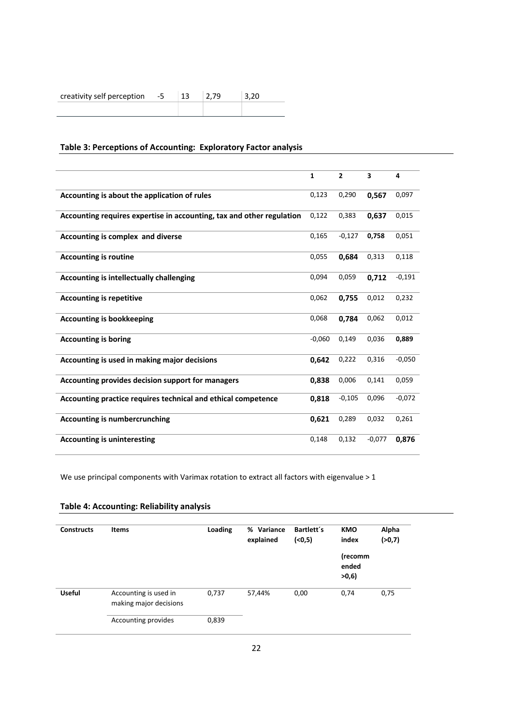# creativity self perception  $-5$  | 13 | 2,79 | 3,20

## **Table 3: Perceptions of Accounting: Exploratory Factor analysis**

|                                                                       | $\mathbf{1}$ | $\overline{2}$ | 3        | 4        |
|-----------------------------------------------------------------------|--------------|----------------|----------|----------|
| Accounting is about the application of rules                          | 0,123        | 0,290          | 0,567    | 0,097    |
| Accounting requires expertise in accounting, tax and other regulation | 0,122        | 0,383          | 0,637    | 0,015    |
| Accounting is complex and diverse                                     | 0,165        | $-0,127$       | 0,758    | 0,051    |
| <b>Accounting is routine</b>                                          | 0,055        | 0.684          | 0,313    | 0,118    |
| <b>Accounting is intellectually challenging</b>                       | 0,094        | 0,059          | 0,712    | $-0,191$ |
| <b>Accounting is repetitive</b>                                       | 0,062        | 0,755          | 0,012    | 0,232    |
| <b>Accounting is bookkeeping</b>                                      | 0,068        | 0,784          | 0,062    | 0,012    |
| <b>Accounting is boring</b>                                           | $-0,060$     | 0,149          | 0,036    | 0,889    |
| Accounting is used in making major decisions                          | 0.642        | 0,222          | 0,316    | $-0,050$ |
| Accounting provides decision support for managers                     | 0,838        | 0,006          | 0,141    | 0,059    |
| Accounting practice requires technical and ethical competence         | 0,818        | $-0,105$       | 0,096    | $-0,072$ |
| <b>Accounting is numbercrunching</b>                                  | 0,621        | 0,289          | 0,032    | 0,261    |
| <b>Accounting is uninteresting</b>                                    | 0,148        | 0,132          | $-0,077$ | 0,876    |

We use principal components with Varimax rotation to extract all factors with eigenvalue > 1

| <b>Constructs</b> | <b>Items</b>                                    | Loading | Variance<br>%<br>explained | Bartlett's<br>(0,5) | <b>KMO</b><br>index      | Alpha<br>(>0,7) |
|-------------------|-------------------------------------------------|---------|----------------------------|---------------------|--------------------------|-----------------|
|                   |                                                 |         |                            |                     | (recomm<br>ended<br>>0,6 |                 |
| <b>Useful</b>     | Accounting is used in<br>making major decisions | 0,737   | 57,44%                     | 0,00                | 0,74                     | 0,75            |
|                   | Accounting provides                             | 0,839   |                            |                     |                          |                 |

### **Table 4: Accounting: Reliability analysis**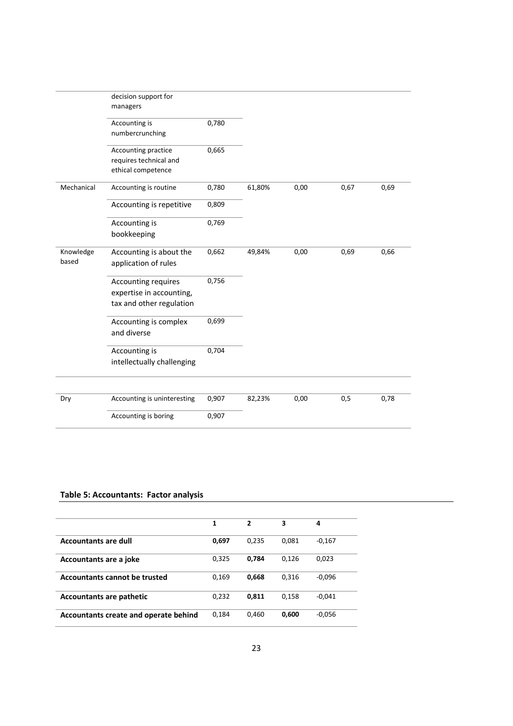|                    | decision support for<br>managers                                            |       |        |      |      |      |
|--------------------|-----------------------------------------------------------------------------|-------|--------|------|------|------|
|                    | Accounting is<br>numbercrunching                                            | 0,780 |        |      |      |      |
|                    | Accounting practice<br>requires technical and<br>ethical competence         | 0,665 |        |      |      |      |
| Mechanical         | Accounting is routine                                                       | 0,780 | 61,80% | 0,00 | 0,67 | 0,69 |
|                    | Accounting is repetitive                                                    | 0,809 |        |      |      |      |
|                    | Accounting is<br>bookkeeping                                                | 0,769 |        |      |      |      |
| Knowledge<br>based | Accounting is about the<br>application of rules                             | 0,662 | 49,84% | 0,00 | 0,69 | 0,66 |
|                    | Accounting requires<br>expertise in accounting,<br>tax and other regulation | 0,756 |        |      |      |      |
|                    | Accounting is complex<br>and diverse                                        | 0,699 |        |      |      |      |
|                    | Accounting is<br>intellectually challenging                                 | 0,704 |        |      |      |      |
| Dry                | Accounting is uninteresting                                                 | 0,907 | 82,23% | 0,00 | 0,5  | 0,78 |
|                    | Accounting is boring                                                        | 0,907 |        |      |      |      |

#### **Table 5: Accountants: Factor analysis**

|                                       | 1     | $\overline{2}$ | 3     | 4        |
|---------------------------------------|-------|----------------|-------|----------|
| <b>Accountants are dull</b>           | 0.697 | 0.235          | 0.081 | $-0,167$ |
| Accountants are a joke                | 0,325 | 0.784          | 0.126 | 0,023    |
| Accountants cannot be trusted         | 0,169 | 0.668          | 0,316 | $-0,096$ |
| <b>Accountants are pathetic</b>       | 0,232 | 0.811          | 0.158 | $-0.041$ |
| Accountants create and operate behind | 0.184 | 0,460          | 0,600 | $-0,056$ |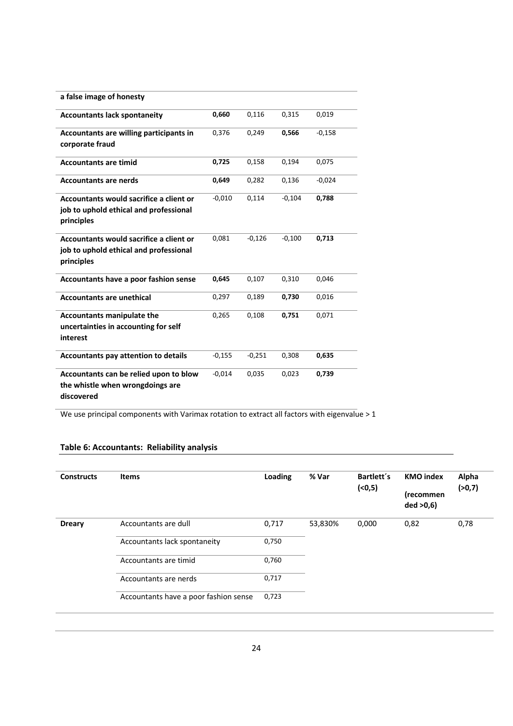| a false image of honesty                                                                        |          |          |          |          |
|-------------------------------------------------------------------------------------------------|----------|----------|----------|----------|
| <b>Accountants lack spontaneity</b>                                                             | 0,660    | 0,116    | 0,315    | 0,019    |
| Accountants are willing participants in<br>corporate fraud                                      | 0,376    | 0,249    | 0,566    | $-0,158$ |
| <b>Accountants are timid</b>                                                                    | 0,725    | 0,158    | 0,194    | 0,075    |
| <b>Accountants are nerds</b>                                                                    | 0,649    | 0,282    | 0,136    | $-0,024$ |
| Accountants would sacrifice a client or<br>job to uphold ethical and professional<br>principles | $-0,010$ | 0,114    | $-0,104$ | 0,788    |
| Accountants would sacrifice a client or<br>job to uphold ethical and professional<br>principles | 0,081    | $-0,126$ | $-0,100$ | 0,713    |
| Accountants have a poor fashion sense                                                           | 0,645    | 0,107    | 0,310    | 0,046    |
| <b>Accountants are unethical</b>                                                                | 0,297    | 0,189    | 0,730    | 0,016    |
| <b>Accountants manipulate the</b><br>uncertainties in accounting for self<br>interest           | 0,265    | 0,108    | 0,751    | 0,071    |
| <b>Accountants pay attention to details</b>                                                     | $-0,155$ | $-0,251$ | 0,308    | 0,635    |
| Accountants can be relied upon to blow<br>the whistle when wrongdoings are<br>discovered        | $-0,014$ | 0,035    | 0,023    | 0,739    |

We use principal components with Varimax rotation to extract all factors with eigenvalue > 1

## **Table 6: Accountants: Reliability analysis**

| <b>Constructs</b> | <b>Items</b>                          | Loading | % Var   | Bartlett's<br>( < 0, 5) | <b>KMO</b> index<br>(recommen<br>ded > 0,6 | Alpha<br>(>0,7) |
|-------------------|---------------------------------------|---------|---------|-------------------------|--------------------------------------------|-----------------|
| <b>Dreary</b>     | Accountants are dull                  | 0,717   | 53,830% | 0,000                   | 0,82                                       | 0,78            |
|                   | Accountants lack spontaneity          | 0,750   |         |                         |                                            |                 |
|                   | Accountants are timid                 | 0,760   |         |                         |                                            |                 |
|                   | Accountants are nerds                 | 0,717   |         |                         |                                            |                 |
|                   | Accountants have a poor fashion sense | 0,723   |         |                         |                                            |                 |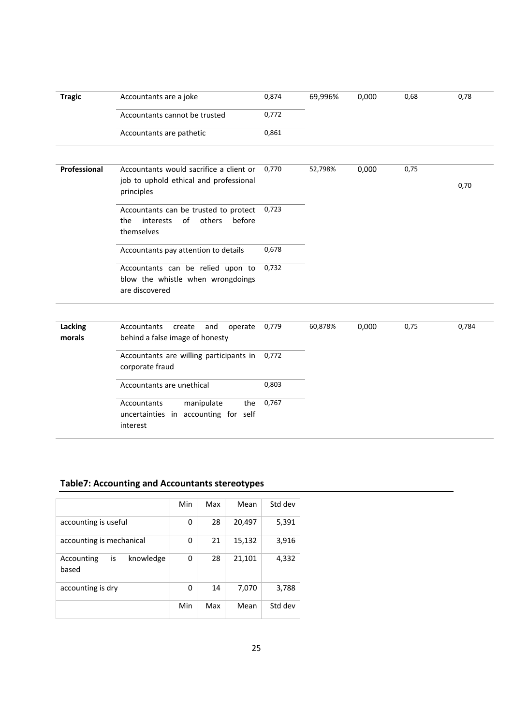| <b>Tragic</b>     | Accountants are a joke                                                                            | 0,874 | 69,996% | 0,000 | 0,68 | 0,78  |
|-------------------|---------------------------------------------------------------------------------------------------|-------|---------|-------|------|-------|
|                   | Accountants cannot be trusted                                                                     | 0,772 |         |       |      |       |
|                   | Accountants are pathetic                                                                          | 0,861 |         |       |      |       |
| Professional      | Accountants would sacrifice a client or<br>job to uphold ethical and professional<br>principles   | 0,770 | 52,798% | 0,000 | 0,75 | 0,70  |
|                   | Accountants can be trusted to protect<br>of<br>others<br>the<br>interests<br>before<br>themselves | 0,723 |         |       |      |       |
|                   | Accountants pay attention to details                                                              | 0,678 |         |       |      |       |
|                   | Accountants can be relied upon to<br>blow the whistle when wrongdoings<br>are discovered          | 0,732 |         |       |      |       |
|                   |                                                                                                   |       |         |       |      |       |
| Lacking<br>morals | Accountants<br>operate<br>create<br>and<br>behind a false image of honesty                        | 0,779 | 60,878% | 0,000 | 0,75 | 0,784 |
|                   | Accountants are willing participants in<br>corporate fraud                                        | 0,772 |         |       |      |       |
|                   | Accountants are unethical                                                                         | 0,803 |         |       |      |       |
|                   | manipulate<br>Accountants<br>the<br>uncertainties in accounting for self<br>interest              | 0,767 |         |       |      |       |

# **Table7: Accounting and Accountants stereotypes**

|                                        | Min | Max | Mean   | Std dev |
|----------------------------------------|-----|-----|--------|---------|
| accounting is useful                   | 0   | 28  | 20,497 | 5,391   |
| accounting is mechanical               | 0   | 21  | 15,132 | 3,916   |
| knowledge<br>is<br>Accounting<br>based | 0   | 28  | 21,101 | 4,332   |
| accounting is dry                      | 0   | 14  | 7,070  | 3,788   |
|                                        | Min | Max | Mean   | Std dev |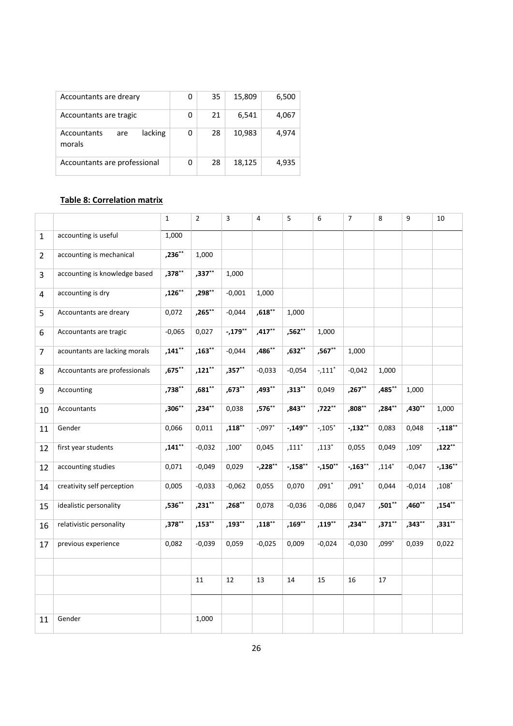| Accountants are dreary                  | 0 | 35 | 15,809 | 6,500 |
|-----------------------------------------|---|----|--------|-------|
| Accountants are tragic                  | 0 | 21 | 6,541  | 4,067 |
| lacking<br>Accountants<br>are<br>morals | 0 | 28 | 10,983 | 4,974 |
| Accountants are professional            | 0 | 28 | 18,125 | 4,935 |

## **Table 8: Correlation matrix**

|                |                               | $\mathbf{1}$ | $\overline{2}$ | $\overline{3}$ | 4         | 5         | 6         | $\overline{7}$ | 8        | 9            | 10          |
|----------------|-------------------------------|--------------|----------------|----------------|-----------|-----------|-----------|----------------|----------|--------------|-------------|
| $\mathbf{1}$   | accounting is useful          | 1,000        |                |                |           |           |           |                |          |              |             |
| $\overline{2}$ | accounting is mechanical      | ,236**       | 1,000          |                |           |           |           |                |          |              |             |
| 3              | accounting is knowledge based | $,378**$     | $,337***$      | 1,000          |           |           |           |                |          |              |             |
| 4              | accounting is dry             | $,126***$    | $,298***$      | $-0,001$       | 1,000     |           |           |                |          |              |             |
| 5              | Accountants are dreary        | 0,072        | ,265**         | $-0,044$       | $,618**$  | 1,000     |           |                |          |              |             |
| 6              | Accountants are tragic        | $-0,065$     | 0,027          | $-.179**$      | $,417***$ | ,562**    | 1,000     |                |          |              |             |
| $\overline{7}$ | acountants are lacking morals | $,141***$    | $,163***$      | $-0,044$       | ,486**    | $,632**$  | $,567***$ | 1,000          |          |              |             |
| 8              | Accountants are professionals | ,675**       | $,121***$      | $,357**$       | $-0,033$  | $-0,054$  | $-.111*$  | $-0,042$       | 1,000    |              |             |
| 9              | Accounting                    | ,738**       | $,681$ **      | $,673***$      | $,493***$ | $,313***$ | 0,049     | $,267***$      | ,485**   | 1,000        |             |
| 10             | Accountants                   | $,306**$     | $,234**$       | 0,038          | ,576**    | $,843**$  | ,722**    | $,808^{**}$    | $,284**$ | ,430**       | 1,000       |
| 11             | Gender                        | 0,066        | 0,011          | $,118***$      | $-.097*$  | $-.149**$ | $-105*$   | $-.132**$      | 0,083    | 0,048        | $-.118**$   |
| 12             | first year students           | $,141***$    | $-0,032$       | $,100^*$       | 0,045     | $,111*$   | $,113*$   | 0,055          | 0,049    | ,109 $^\ast$ | $,122***$   |
| 12             | accounting studies            | 0,071        | $-0,049$       | 0,029          | $-228**$  | $-.158**$ | $-.150**$ | $-.163**$      | $,114*$  | $-0,047$     | $-.136**$   |
| 14             | creativity self perception    | 0,005        | $-0,033$       | $-0,062$       | 0,055     | 0,070     | $,091*$   | $,091*$        | 0,044    | $-0,014$     | $,108*$     |
| 15             | idealistic personality        | $,536***$    | $,231**$       | $,268**$       | 0,078     | $-0,036$  | $-0,086$  | 0,047          | ,501**   | $,460**$     | $,154^{**}$ |
| 16             | relativistic personality      | $,378***$    | $,153***$      | $,193***$      | $,118***$ | $,169**$  | $,119***$ | ,234**         | $,371**$ | ,343**       | $,331**$    |
| 17             | previous experience           | 0,082        | $-0,039$       | 0,059          | $-0,025$  | 0,009     | $-0,024$  | $-0,030$       | $,099*$  | 0,039        | 0,022       |
|                |                               |              |                |                |           |           |           |                |          |              |             |
|                |                               |              | 11             | 12             | 13        | 14        | 15        | 16             | 17       |              |             |
|                |                               |              |                |                |           |           |           |                |          |              |             |
| 11             | Gender                        |              | 1,000          |                |           |           |           |                |          |              |             |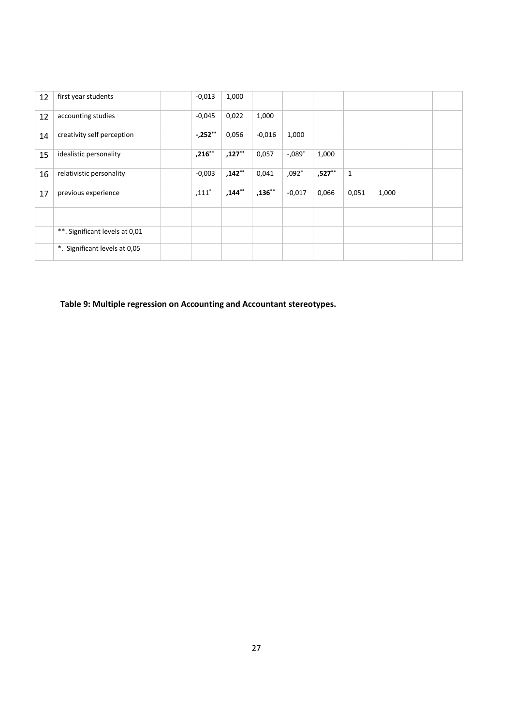| 12 | first year students            | $-0.013$  | 1,000     |           |                       |        |       |       |  |
|----|--------------------------------|-----------|-----------|-----------|-----------------------|--------|-------|-------|--|
| 12 | accounting studies             | $-0,045$  | 0,022     | 1,000     |                       |        |       |       |  |
| 14 | creativity self perception     | $-252**$  | 0,056     | $-0.016$  | 1,000                 |        |       |       |  |
| 15 | idealistic personality         | $,216***$ | $,127***$ | 0,057     | $-0.089$ <sup>*</sup> | 1,000  |       |       |  |
| 16 | relativistic personality       | $-0,003$  | ,142**    | 0,041     | $,092*$               | ,527** | 1     |       |  |
| 17 | previous experience            | $,111*$   | $,144***$ | $,136***$ | $-0,017$              | 0,066  | 0,051 | 1,000 |  |
|    |                                |           |           |           |                       |        |       |       |  |
|    | **. Significant levels at 0,01 |           |           |           |                       |        |       |       |  |
|    | *. Significant levels at 0,05  |           |           |           |                       |        |       |       |  |

**Table 9: Multiple regression on Accounting and Accountant stereotypes.**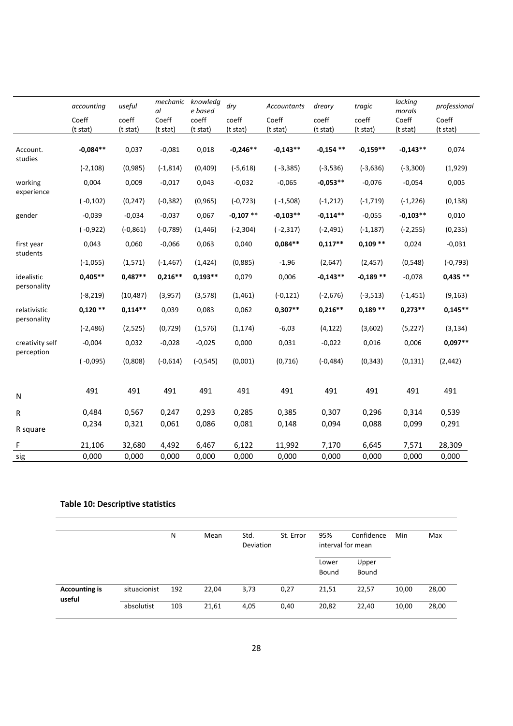|                               | accounting  | useful      | mechanic<br>al | knowledg<br>e based | dry         | Accountants | dreary      | tragic      | lacking<br>morals | professional |
|-------------------------------|-------------|-------------|----------------|---------------------|-------------|-------------|-------------|-------------|-------------------|--------------|
|                               | Coeff       | coeff       | Coeff          | coeff               | coeff       | Coeff       | coeff       | coeff       | Coeff             | Coeff        |
|                               | (t stat)    | (t stat)    | (t stat)       | (t stat)            | (t stat)    | (t stat)    | (t stat)    | (t stat)    | (t stat)          | (t stat)     |
| Account.<br>studies           | $-0,084**$  | 0,037       | $-0,081$       | 0,018               | $-0,246**$  | $-0,143**$  | $-0,154$ ** | $-0,159**$  | $-0,143**$        | 0,074        |
|                               | $(-2, 108)$ | (0,985)     | $(-1, 814)$    | (0,409)             | $(-5, 618)$ | $(-3, 385)$ | $(-3, 536)$ | $(-3, 636)$ | $(-3,300)$        | (1,929)      |
| working<br>experience         | 0,004       | 0,009       | $-0,017$       | 0,043               | $-0,032$    | $-0,065$    | $-0,053**$  | $-0,076$    | $-0,054$          | 0,005        |
|                               | $(-0, 102)$ | (0, 247)    | $(-0, 382)$    | (0, 965)            | $(-0, 723)$ | $(-1,508)$  | $(-1, 212)$ | $(-1, 719)$ | $(-1, 226)$       | (0, 138)     |
| gender                        | $-0,039$    | $-0,034$    | $-0,037$       | 0,067               | $-0,107**$  | $-0,103**$  | $-0,114**$  | $-0,055$    | $-0,103**$        | 0,010        |
|                               | $(-0, 922)$ | $(-0, 861)$ | $(-0, 789)$    | (1, 446)            | $(-2, 304)$ | $(-2, 317)$ | $(-2, 491)$ | $(-1, 187)$ | $(-2, 255)$       | (0, 235)     |
| first year<br>students        | 0,043       | 0,060       | $-0,066$       | 0,063               | 0,040       | $0,084**$   | $0.117**$   | $0,109**$   | 0,024             | $-0,031$     |
|                               | $(-1,055)$  | (1, 571)    | $(-1, 467)$    | (1, 424)            | (0,885)     | $-1,96$     | (2,647)     | (2, 457)    | (0, 548)          | $(-0, 793)$  |
| idealistic<br>personality     | $0,405**$   | $0,487**$   | $0,216**$      | $0,193**$           | 0,079       | 0,006       | $-0,143**$  | $-0,189**$  | $-0,078$          | $0,435**$    |
|                               | $(-8, 219)$ | (10, 487)   | (3,957)        | (3,578)             | (1,461)     | $(-0, 121)$ | $(-2,676)$  | $(-3, 513)$ | $(-1, 451)$       | (9, 163)     |
| relativistic<br>personality   | $0,120**$   | $0,114**$   | 0,039          | 0,083               | 0,062       | $0,307**$   | $0,216**$   | $0,189**$   | $0,273**$         | $0,145**$    |
|                               | $(-2, 486)$ | (2,525)     | (0, 729)       | (1, 576)            | (1, 174)    | $-6,03$     | (4, 122)    | (3,602)     | (5, 227)          | (3, 134)     |
| creativity self<br>perception | $-0,004$    | 0,032       | $-0,028$       | $-0,025$            | 0,000       | 0,031       | $-0,022$    | 0,016       | 0,006             | $0.097**$    |
|                               | $(-0,095)$  | (0,808)     | $(-0,614)$     | $(-0, 545)$         | (0,001)     | (0,716)     | $(-0, 484)$ | (0, 343)    | (0, 131)          | (2, 442)     |
| N                             | 491         | 491         | 491            | 491                 | 491         | 491         | 491         | 491         | 491               | 491          |
| R                             | 0,484       | 0,567       | 0,247          | 0,293               | 0,285       | 0,385       | 0,307       | 0,296       | 0,314             | 0,539        |
| R square                      | 0,234       | 0,321       | 0,061          | 0,086               | 0,081       | 0,148       | 0,094       | 0,088       | 0,099             | 0,291        |
| F                             | 21,106      | 32,680      | 4,492          | 6,467               | 6,122       | 11,992      | 7,170       | 6,645       | 7,571             | 28,309       |
| sig                           | 0,000       | 0,000       | 0,000          | 0,000               | 0,000       | 0,000       | 0,000       | 0,000       | 0,000             | 0,000        |

## **Table 10: Descriptive statistics**

|                                |              | N   | Mean  | Std.<br><b>Deviation</b> | St. Error | 95%<br>interval for mean | Confidence     | Min   | Max   |
|--------------------------------|--------------|-----|-------|--------------------------|-----------|--------------------------|----------------|-------|-------|
|                                |              |     |       |                          |           | Lower<br>Bound           | Upper<br>Bound |       |       |
| <b>Accounting is</b><br>useful | situacionist | 192 | 22,04 | 3,73                     | 0,27      | 21,51                    | 22,57          | 10,00 | 28,00 |
|                                | absolutist   | 103 | 21,61 | 4,05                     | 0,40      | 20,82                    | 22,40          | 10,00 | 28,00 |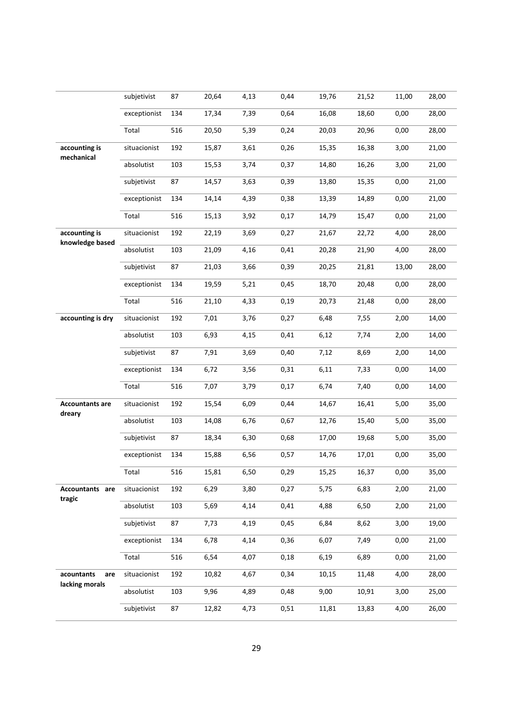|                                     | subjetivist  | 87  | 20,64 | 4,13 | 0,44 | 19,76 | 21,52 | 11,00 | 28,00 |
|-------------------------------------|--------------|-----|-------|------|------|-------|-------|-------|-------|
|                                     | exceptionist | 134 | 17,34 | 7,39 | 0,64 | 16,08 | 18,60 | 0,00  | 28,00 |
|                                     | Total        | 516 | 20,50 | 5,39 | 0,24 | 20,03 | 20,96 | 0,00  | 28,00 |
| accounting is<br>mechanical         | situacionist | 192 | 15,87 | 3,61 | 0,26 | 15,35 | 16,38 | 3,00  | 21,00 |
|                                     | absolutist   | 103 | 15,53 | 3,74 | 0,37 | 14,80 | 16,26 | 3,00  | 21,00 |
|                                     | subjetivist  | 87  | 14,57 | 3,63 | 0,39 | 13,80 | 15,35 | 0,00  | 21,00 |
|                                     | exceptionist | 134 | 14,14 | 4,39 | 0,38 | 13,39 | 14,89 | 0,00  | 21,00 |
|                                     | Total        | 516 | 15,13 | 3,92 | 0,17 | 14,79 | 15,47 | 0,00  | 21,00 |
| accounting is                       | situacionist | 192 | 22,19 | 3,69 | 0,27 | 21,67 | 22,72 | 4,00  | 28,00 |
| knowledge based                     | absolutist   | 103 | 21,09 | 4,16 | 0,41 | 20,28 | 21,90 | 4,00  | 28,00 |
|                                     | subjetivist  | 87  | 21,03 | 3,66 | 0,39 | 20,25 | 21,81 | 13,00 | 28,00 |
|                                     | exceptionist | 134 | 19,59 | 5,21 | 0,45 | 18,70 | 20,48 | 0,00  | 28,00 |
|                                     | Total        | 516 | 21,10 | 4,33 | 0,19 | 20,73 | 21,48 | 0,00  | 28,00 |
| accounting is dry                   | situacionist | 192 | 7,01  | 3,76 | 0,27 | 6,48  | 7,55  | 2,00  | 14,00 |
|                                     | absolutist   | 103 | 6,93  | 4,15 | 0,41 | 6,12  | 7,74  | 2,00  | 14,00 |
|                                     | subjetivist  | 87  | 7,91  | 3,69 | 0,40 | 7,12  | 8,69  | 2,00  | 14,00 |
|                                     | exceptionist | 134 | 6,72  | 3,56 | 0,31 | 6,11  | 7,33  | 0,00  | 14,00 |
|                                     | Total        | 516 | 7,07  | 3,79 | 0,17 | 6,74  | 7,40  | 0,00  | 14,00 |
| <b>Accountants are</b><br>dreary    | situacionist | 192 | 15,54 | 6,09 | 0,44 | 14,67 | 16,41 | 5,00  | 35,00 |
|                                     | absolutist   | 103 | 14,08 | 6,76 | 0,67 | 12,76 | 15,40 | 5,00  | 35,00 |
|                                     | subjetivist  | 87  | 18,34 | 6,30 | 0,68 | 17,00 | 19,68 | 5,00  | 35,00 |
|                                     | exceptionist | 134 | 15,88 | 6,56 | 0,57 | 14,76 | 17,01 | 0,00  | 35,00 |
|                                     | Total        | 516 | 15,81 | 6,50 | 0,29 | 15,25 | 16,37 | 0,00  | 35,00 |
| <b>Accountants</b> are<br>tragic    | situacionist | 192 | 6,29  | 3,80 | 0,27 | 5,75  | 6,83  | 2,00  | 21,00 |
|                                     | absolutist   | 103 | 5,69  | 4,14 | 0,41 | 4,88  | 6,50  | 2,00  | 21,00 |
|                                     | subjetivist  | 87  | 7,73  | 4,19 | 0,45 | 6,84  | 8,62  | 3,00  | 19,00 |
|                                     | exceptionist | 134 | 6,78  | 4,14 | 0,36 | 6,07  | 7,49  | 0,00  | 21,00 |
|                                     | Total        | 516 | 6,54  | 4,07 | 0,18 | 6,19  | 6,89  | 0,00  | 21,00 |
| acountants<br>are<br>lacking morals | situacionist | 192 | 10,82 | 4,67 | 0,34 | 10,15 | 11,48 | 4,00  | 28,00 |
|                                     | absolutist   | 103 | 9,96  | 4,89 | 0,48 | 9,00  | 10,91 | 3,00  | 25,00 |
|                                     | subjetivist  | 87  | 12,82 | 4,73 | 0,51 | 11,81 | 13,83 | 4,00  | 26,00 |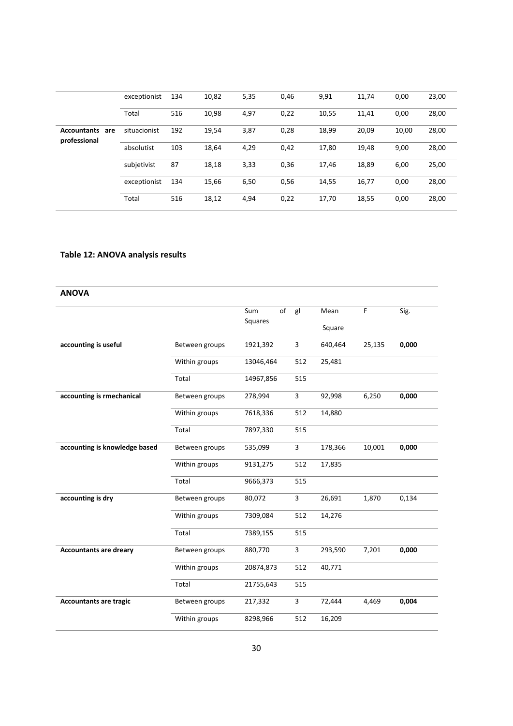|                                           | exceptionist | 134 | 10,82 | 5,35 | 0,46 | 9,91  | 11,74 | 0,00  | 23,00 |
|-------------------------------------------|--------------|-----|-------|------|------|-------|-------|-------|-------|
|                                           | Total        | 516 | 10,98 | 4,97 | 0,22 | 10,55 | 11,41 | 0,00  | 28,00 |
| <b>Accountants</b><br>are<br>professional | situacionist | 192 | 19,54 | 3,87 | 0,28 | 18,99 | 20,09 | 10,00 | 28,00 |
|                                           | absolutist   | 103 | 18,64 | 4,29 | 0,42 | 17,80 | 19,48 | 9,00  | 28,00 |
|                                           | subjetivist  | 87  | 18,18 | 3,33 | 0,36 | 17,46 | 18,89 | 6,00  | 25,00 |
|                                           | exceptionist | 134 | 15,66 | 6,50 | 0,56 | 14,55 | 16,77 | 0,00  | 28,00 |
|                                           | Total        | 516 | 18,12 | 4,94 | 0,22 | 17,70 | 18,55 | 0,00  | 28,00 |

## **Table 12: ANOVA analysis results**

| <b>ANOVA</b>                  |                |           |                |         |        |       |
|-------------------------------|----------------|-----------|----------------|---------|--------|-------|
|                               |                | of<br>Sum | gl             | Mean    | F      | Sig.  |
|                               |                | Squares   |                | Square  |        |       |
| accounting is useful          | Between groups | 1921,392  | 3              | 640,464 | 25,135 | 0,000 |
|                               | Within groups  | 13046,464 | 512            | 25,481  |        |       |
|                               | Total          | 14967,856 | 515            |         |        |       |
| accounting is rmechanical     | Between groups | 278,994   | 3              | 92,998  | 6,250  | 0,000 |
|                               | Within groups  | 7618,336  | 512            | 14,880  |        |       |
|                               | Total          | 7897,330  | 515            |         |        |       |
| accounting is knowledge based | Between groups | 535,099   | $\overline{3}$ | 178,366 | 10,001 | 0,000 |
|                               | Within groups  | 9131,275  | 512            | 17,835  |        |       |
|                               | Total          | 9666,373  | 515            |         |        |       |
| accounting is dry             | Between groups | 80,072    | 3              | 26,691  | 1,870  | 0,134 |
|                               | Within groups  | 7309,084  | 512            | 14,276  |        |       |
|                               | Total          | 7389,155  | 515            |         |        |       |
| <b>Accountants are dreary</b> | Between groups | 880,770   | 3              | 293,590 | 7,201  | 0,000 |
|                               | Within groups  | 20874,873 | 512            | 40,771  |        |       |
|                               | Total          | 21755,643 | 515            |         |        |       |
| <b>Accountants are tragic</b> | Between groups | 217,332   | 3              | 72,444  | 4,469  | 0,004 |
|                               | Within groups  | 8298,966  | 512            | 16,209  |        |       |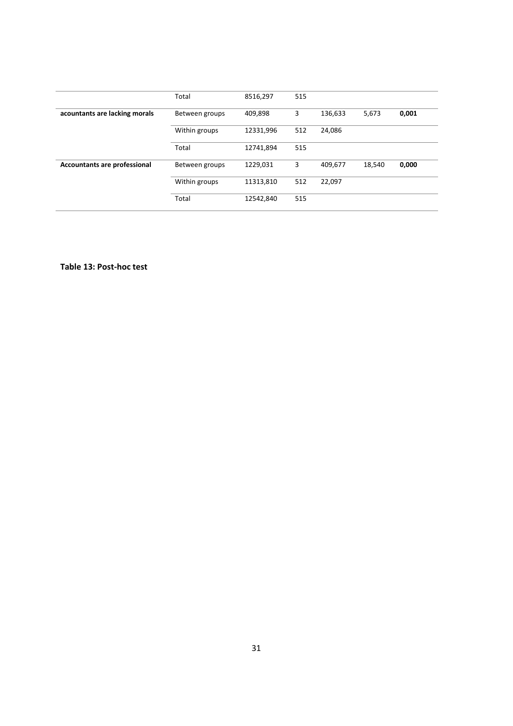|                                     | Total          | 8516,297  | 515 |         |        |       |
|-------------------------------------|----------------|-----------|-----|---------|--------|-------|
| acountants are lacking morals       | Between groups | 409,898   | 3   | 136,633 | 5,673  | 0,001 |
|                                     | Within groups  | 12331,996 | 512 | 24,086  |        |       |
|                                     | Total          | 12741,894 | 515 |         |        |       |
| <b>Accountants are professional</b> | Between groups | 1229,031  | 3   | 409,677 | 18.540 | 0,000 |
|                                     | Within groups  | 11313,810 | 512 | 22,097  |        |       |
|                                     | Total          | 12542,840 | 515 |         |        |       |

**Table 13: Post-hoc test**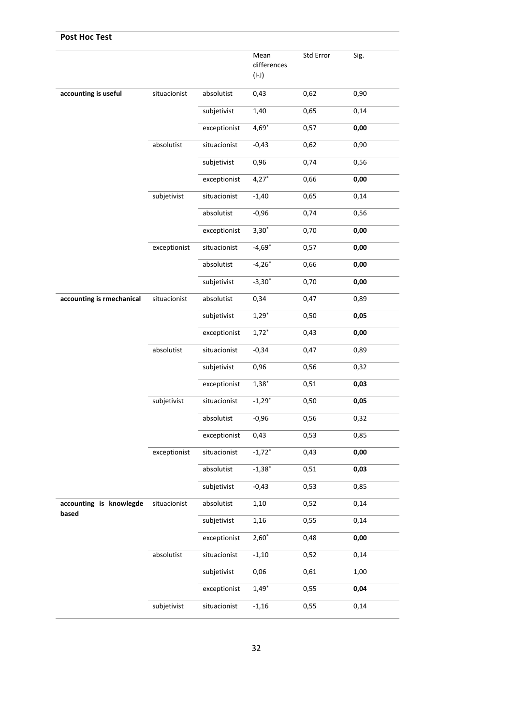| <b>Post Hoc Test</b>             |              |              |                                |           |      |
|----------------------------------|--------------|--------------|--------------------------------|-----------|------|
|                                  |              |              | Mean<br>differences<br>$(I-J)$ | Std Error | Sig. |
| accounting is useful             | situacionist | absolutist   | 0,43                           | 0,62      | 0,90 |
|                                  |              | subjetivist  | 1,40                           | 0,65      | 0,14 |
|                                  |              | exceptionist | $4,69*$                        | 0,57      | 0,00 |
|                                  | absolutist   | situacionist | $-0,43$                        | 0,62      | 0,90 |
|                                  |              | subjetivist  | 0,96                           | 0,74      | 0,56 |
|                                  |              | exceptionist | $4,27*$                        | 0,66      | 0,00 |
|                                  | subjetivist  | situacionist | $-1,40$                        | 0,65      | 0,14 |
|                                  |              | absolutist   | $-0,96$                        | 0,74      | 0,56 |
|                                  |              | exceptionist | $3,30*$                        | 0,70      | 0,00 |
|                                  | exceptionist | situacionist | $-4,69*$                       | 0,57      | 0,00 |
|                                  |              | absolutist   | $-4,26*$                       | 0,66      | 0,00 |
|                                  |              | subjetivist  | $-3,30*$                       | 0,70      | 0,00 |
| accounting is rmechanical        | situacionist | absolutist   | 0,34                           | 0,47      | 0,89 |
|                                  |              | subjetivist  | $1,29*$                        | 0,50      | 0,05 |
|                                  |              | exceptionist | $1,72*$                        | 0,43      | 0,00 |
|                                  | absolutist   | situacionist | $-0,34$                        | 0,47      | 0,89 |
|                                  |              | subjetivist  | 0,96                           | 0,56      | 0,32 |
|                                  |              | exceptionist | $1,38*$                        | 0,51      | 0,03 |
|                                  | subjetivist  | situacionist | $-1,29"$                       | 0,50      | 0,05 |
|                                  |              | absolutist   | -0,96                          | 0,56      | 0,32 |
|                                  |              | exceptionist | 0,43                           | 0,53      | 0,85 |
|                                  | exceptionist | situacionist | $-1,72"$                       | 0,43      | 0,00 |
|                                  |              | absolutist   | $-1,38*$                       | 0,51      | 0,03 |
|                                  |              | subjetivist  | $-0,43$                        | 0,53      | 0,85 |
| accounting is knowlegde<br>based | situacionist | absolutist   | 1,10                           | 0,52      | 0,14 |
|                                  |              | subjetivist  | 1,16                           | 0,55      | 0,14 |
|                                  |              | exceptionist | $2,60*$                        | 0,48      | 0,00 |
|                                  | absolutist   | situacionist | $-1,10$                        | 0,52      | 0,14 |
|                                  |              | subjetivist  | 0,06                           | 0,61      | 1,00 |
|                                  |              | exceptionist | $1,49*$                        | 0,55      | 0,04 |
|                                  | subjetivist  | situacionist | $-1,16$                        | 0,55      | 0,14 |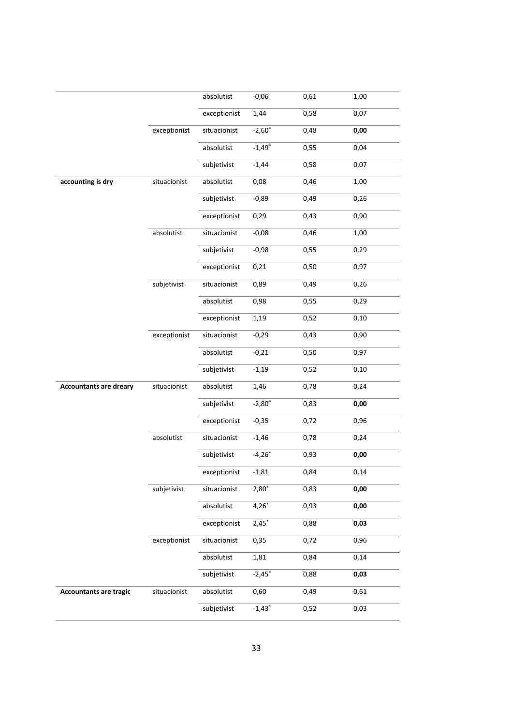|                               |              | absolutist   | $-0,06$              | 0,61 | 1,00 |
|-------------------------------|--------------|--------------|----------------------|------|------|
|                               |              | exceptionist | 1,44                 | 0,58 | 0,07 |
|                               | exceptionist | situacionist | $-2,60*$             | 0,48 | 0,00 |
|                               |              | absolutist   | $-1,49*$             | 0,55 | 0,04 |
|                               |              | subjetivist  | $-1,44$              | 0,58 | 0,07 |
| accounting is dry             | situacionist | absolutist   | 0,08                 | 0,46 | 1,00 |
|                               |              | subjetivist  | $-0,89$              | 0,49 | 0,26 |
|                               |              | exceptionist | 0,29                 | 0,43 | 0,90 |
|                               | absolutist   | situacionist | $-0,08$              | 0,46 | 1,00 |
|                               |              | subjetivist  | $-0,98$              | 0,55 | 0,29 |
|                               |              | exceptionist | 0,21                 | 0,50 | 0,97 |
|                               | subjetivist  | situacionist | 0,89                 | 0,49 | 0,26 |
|                               |              | absolutist   | 0,98                 | 0,55 | 0,29 |
|                               |              | exceptionist | 1,19                 | 0,52 | 0,10 |
|                               | exceptionist | situacionist | $-0,29$              | 0,43 | 0,90 |
|                               |              | absolutist   | $-0,21$              | 0,50 | 0,97 |
|                               |              | subjetivist  | $-1,19$              | 0,52 | 0,10 |
| <b>Accountants are dreary</b> | situacionist | absolutist   | 1,46                 | 0,78 | 0,24 |
|                               |              | subjetivist  | $-2,80^*$            | 0,83 | 0,00 |
|                               |              | exceptionist | $-0,35$              | 0,72 | 0,96 |
|                               | absolutist   | situacionist | $-1,46$              | 0,78 | 0,24 |
|                               |              | subjetivist  | $-4,26*$             | 0,93 | 0,00 |
|                               |              | exceptionist | $-1,81$              | 0,84 | 0,14 |
|                               | subjetivist  | situacionist | $2,80*$              | 0,83 | 0,00 |
|                               |              | absolutist   | $4,26*$              | 0,93 | 0,00 |
|                               |              | exceptionist | $2,45*$              | 0,88 | 0,03 |
|                               | exceptionist | situacionist | 0,35                 | 0,72 | 0,96 |
|                               |              | absolutist   | 1,81                 | 0,84 | 0,14 |
|                               |              | subjetivist  | $-2,45$ <sup>*</sup> | 0,88 | 0,03 |
| <b>Accountants are tragic</b> | situacionist | absolutist   | 0,60                 | 0,49 | 0,61 |
|                               |              | subjetivist  | $-1,43*$             | 0,52 | 0,03 |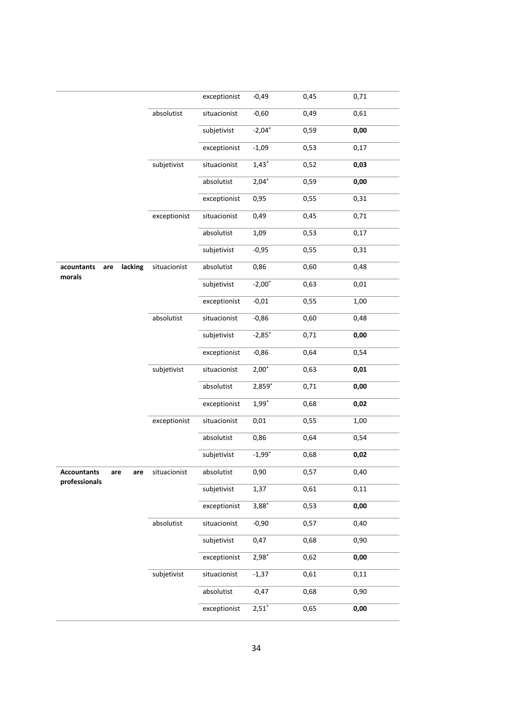|                                                   |              | exceptionist | $-0,49$   | 0,45 | 0,71 |
|---------------------------------------------------|--------------|--------------|-----------|------|------|
|                                                   | absolutist   | situacionist | $-0,60$   | 0,49 | 0,61 |
|                                                   |              | subjetivist  | $-2,04*$  | 0,59 | 0,00 |
|                                                   |              | exceptionist | $-1,09$   | 0,53 | 0,17 |
|                                                   | subjetivist  | situacionist | $1,43*$   | 0,52 | 0,03 |
|                                                   |              | absolutist   | $2,04*$   | 0,59 | 0,00 |
|                                                   |              | exceptionist | 0,95      | 0,55 | 0,31 |
|                                                   | exceptionist | situacionist | 0,49      | 0,45 | 0,71 |
|                                                   |              | absolutist   | 1,09      | 0,53 | 0,17 |
|                                                   |              | subjetivist  | $-0,95$   | 0,55 | 0,31 |
| lacking<br>acountants<br>are<br>morals            | situacionist | absolutist   | 0,86      | 0,60 | 0,48 |
|                                                   |              | subjetivist  | $-2,00^*$ | 0,63 | 0,01 |
|                                                   |              | exceptionist | $-0,01$   | 0,55 | 1,00 |
|                                                   | absolutist   | situacionist | $-0,86$   | 0,60 | 0,48 |
|                                                   |              | subjetivist  | $-2,85*$  | 0,71 | 0,00 |
|                                                   |              | exceptionist | $-0,86$   | 0,64 | 0,54 |
|                                                   | subjetivist  | situacionist | $2,00^*$  | 0,63 | 0,01 |
|                                                   |              | absolutist   | 2,859*    | 0,71 | 0,00 |
|                                                   |              | exceptionist | $1,99*$   | 0,68 | 0,02 |
|                                                   | exceptionist | situacionist | 0,01      | 0,55 | 1,00 |
|                                                   |              | absolutist   | 0,86      | 0,64 | 0,54 |
|                                                   |              | subjetivist  | $-1,99"$  | 0,68 | 0,02 |
| <b>Accountants</b><br>are<br>are<br>professionals | situacionist | absolutist   | 0,90      | 0,57 | 0,40 |
|                                                   |              | subjetivist  | 1,37      | 0,61 | 0,11 |
|                                                   |              | exceptionist | $3,88*$   | 0,53 | 0,00 |
|                                                   | absolutist   | situacionist | $-0,90$   | 0,57 | 0,40 |
|                                                   |              | subjetivist  | 0,47      | 0,68 | 0,90 |
|                                                   |              | exceptionist | $2,98*$   | 0,62 | 0,00 |
|                                                   | subjetivist  | situacionist | $-1,37$   | 0,61 | 0,11 |
|                                                   |              | absolutist   | $-0,47$   | 0,68 | 0,90 |
|                                                   |              | exceptionist | $2,51*$   | 0,65 | 0,00 |